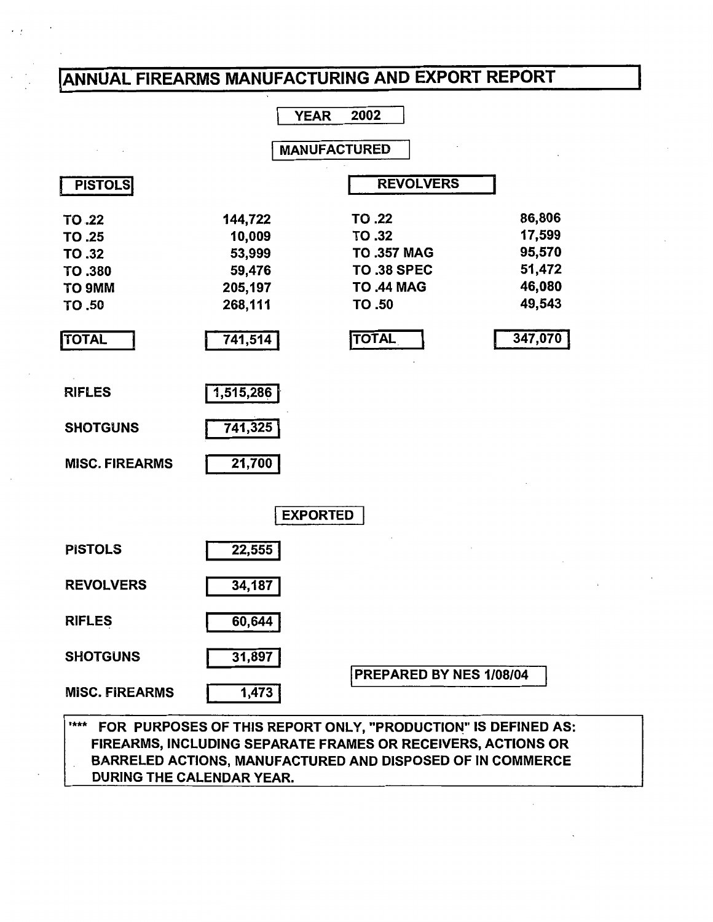# IANNUAL FIREARMS MANUFACTURING AND EXPORT REPORT

**YEAR** 2002

**MANUFACTURED** 

| <b>PISTOLS</b>        |           | <b>REVOLVERS</b>   |         |
|-----------------------|-----------|--------------------|---------|
| TO .22                | 144,722   | TO .22             | 86,806  |
| TO .25                | 10,009    | TO .32             | 17,599  |
| TO .32                | 53,999    | <b>TO .357 MAG</b> | 95,570  |
| TO .380               | 59,476    | <b>TO .38 SPEC</b> | 51,472  |
| TO 9MM                | 205,197   | <b>TO .44 MAG</b>  | 46,080  |
| TO .50                | 268,111   | TO .50             | 49,543  |
| <b>TOTAL</b>          | 741,514   | <b>TOTAL</b>       | 347,070 |
| <b>RIFLES</b>         | 1,515,286 |                    |         |
| <b>SHOTGUNS</b>       | 741,325   |                    |         |
| <b>MISC. FIREARMS</b> | 21,700    |                    |         |
|                       |           | <b>EXPORTED</b>    |         |
| <b>PISTOLS</b>        | 22,555    |                    |         |

REVOLVERS RIFLES **SHOTGUNS** MISC. FIREARMS 34,187 60,644 31,897 1,473 I PREPARED BY NES 1/08/04

### "\*\*\* FOR PURPOSES OF THIS REPORT ONLY, "PRODUCTION" IS DEFINED AS: FIREARMS, INCLUDING SEPARATE FRAMES OR RECEIVERS, ACTIONS OR BARRELED ACTIONS, MANUFACTURED AND DISPOSED OF IN COMMERCE DURING THE CALENDAR YEAR.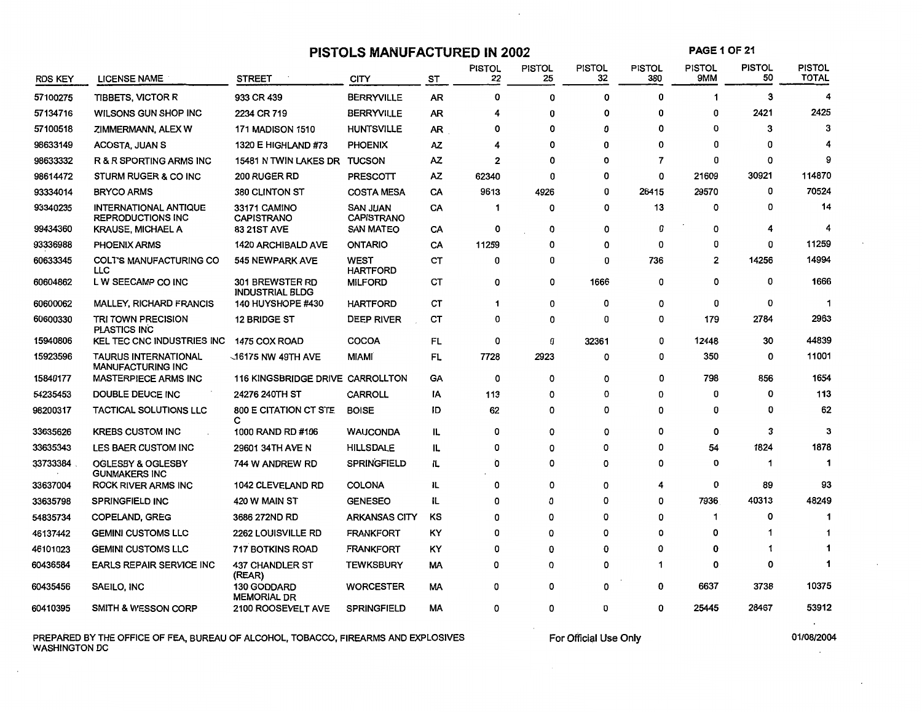**PISTOLS MANUFACTURED IN 2002** 

 $\cdot$ 

**PAGE 1OF21** 

| <b>RDS KEY</b> | <b>LICENSE NAME</b>                                      | <b>STREET</b>                             | CITY                                 | ST        | <b>PISTOL</b><br>22 | <b>PISTOL</b><br>25 | <b>PISTOL</b><br>32 | <b>PISTOL</b><br>380 | <b>PISTOL</b><br>9MM | <b>PISTOL</b><br>50 | <b>PISTOL</b><br><b>TOTAL</b> |
|----------------|----------------------------------------------------------|-------------------------------------------|--------------------------------------|-----------|---------------------|---------------------|---------------------|----------------------|----------------------|---------------------|-------------------------------|
| 57100275       | <b>TIBBETS, VICTOR R</b>                                 | 933 CR 439                                | <b>BERRYVILLE</b>                    | <b>AR</b> | 0                   | 0                   | 0                   | 0                    | 1                    | 3                   | 4                             |
| 57134716       | WILSONS GUN SHOP INC                                     | 2234 CR 719                               | <b>BERRYVILLE</b>                    | <b>AR</b> | 4                   | 0                   | 0                   | 0                    | 0                    | 2421                | 2425                          |
| 57100518       | ZIMMERMANN, ALEX W                                       | <b>171 MADISON 1510</b>                   | <b>HUNTSVILLE</b>                    | AR        | 0                   | 0                   | 0                   | 0                    | 0                    | 3                   | 3                             |
| 98633149       | ACOSTA, JUAN S                                           | 1320 E HIGHLAND #73                       | <b>PHOENIX</b>                       | ΑZ        | 4                   | 0                   | 0                   | 0                    | 0                    | 0                   |                               |
| 98633332       | R & R SPORTING ARMS INC                                  | 15481 N TWIN LAKES DR TUCSON              |                                      | AZ.       | 2                   | 0                   | O                   | $\overline{7}$       | 0                    | 0                   | 9                             |
| 98614472       | <b>STURM RUGER &amp; CO INC</b>                          | <b>200 RUGER RD</b>                       | PRESCOTT                             | AZ.       | 62340               | 0                   | 0                   | 0                    | 21609                | 30921               | 114870                        |
| 93334014       | <b>BRYCO ARMS</b>                                        | 380 CLINTON ST                            | <b>COSTA MESA</b>                    | CA        | 9613                | 4926                | 0                   | 26415                | 29570                | 0                   | 70524                         |
| 93340235       | <b>INTERNATIONAL ANTIQUE</b><br><b>REPRODUCTIONS INC</b> | 33171 CAMINO<br><b>CAPISTRANO</b>         | <b>SAN JUAN</b><br><b>CAPISTRANO</b> | CA        | 1                   | 0                   | 0                   | 13                   | 0                    | 0                   | 14                            |
| 99434360       | <b>KRAUSE, MICHAEL A</b>                                 | <b>83 21ST AVE</b>                        | <b>SAN MATEO</b>                     | CA        | 0                   | 0                   | 0                   | 0                    | 0                    | 4                   | 4                             |
| 93336988       | <b>PHOENIX ARMS</b>                                      | <b>1420 ARCHIBALD AVE</b>                 | <b>ONTARIO</b>                       | CA        | 11259               | 0                   | $\Omega$            | 0                    | 0                    | 0                   | 11259                         |
| 60633345       | <b>COLTS MANUFACTURING CO</b><br><b>LLC</b>              | 545 NEWPARK AVE                           | WEST<br><b>HARTFORD</b>              | СT        | 0                   | 0                   | $\Omega$            | 736                  | $\overline{2}$       | 14256               | 14994                         |
| 60604862       | L W SEECAMP CO INC                                       | 301 BREWSTER RD<br><b>INDUSTRIAL BLDG</b> | <b>MILFORD</b>                       | <b>CT</b> | 0                   | 0                   | 1666                | 0                    | 0                    | 0                   | 1666                          |
| 60600062       | <b>MALLEY, RICHARD FRANCIS</b>                           | 140 HUYSHOPE #430                         | <b>HARTFORD</b>                      | <b>CT</b> | 1                   | 0                   | 0                   | 0                    | 0                    | 0                   | -1                            |
| 60600330       | TRI TOWN PRECISION<br><b>PLASTICS INC</b>                | <b>12 BRIDGE ST</b>                       | DEEP RIVER                           | СT        | 0                   | 0                   | 0                   | 0                    | 179                  | 2784                | 2963                          |
| 15940806       | <b>KEL TEC CNC INDUSTRIES INC</b>                        | 1475 COX ROAD                             | <b>COCOA</b>                         | FL        | 0                   | 0                   | 32361               | 0                    | 12448                | 30                  | 44839                         |
| 15923596       | <b>TAURUS INTERNATIONAL</b><br><b>MANUFACTURING INC</b>  | $\sim$ 16175 NW 49TH AVE                  | <b>MIAMI</b>                         | FL        | 7728                | 2923                | 0                   | 0                    | 350                  | 0                   | 11001                         |
| 15840177       | <b>MASTERPIECE ARMS INC</b>                              | 116 KINGSBRIDGE DRIVE CARROLLTON          |                                      | GA        | 0                   | 0                   | O                   | 0                    | 798                  | 856                 | 1654                          |
| 54235453       | DOUBLE DEUCE INC                                         | 24276 240TH ST                            | <b>CARROLL</b>                       | ΙA        | 113                 | 0                   | 0                   | 0                    | 0                    | 0                   | 113                           |
| 98200317       | <b>TACTICAL SOLUTIONS LLC</b>                            | 800 E CITATION CT STE<br>с                | <b>BOISE</b>                         | ID        | 62                  | 0                   | 0                   | 0                    | 0                    | 0                   | 62                            |
| 33635626       | <b>KREBS CUSTOM INC</b>                                  | 1000 RAND RD #106                         | <b>WAUCONDA</b>                      | IL        | O                   | 0                   | 0                   | 0                    | 0                    | 3                   | 3                             |
| 33635343       | LES BAER CUSTOM INC                                      | 29601 34TH AVE N                          | <b>HILLSDALE</b>                     | IL        | 0                   | 0                   | 0                   | 0                    | 54                   | 1824                | 1878                          |
| 33733384       | <b>OGLESBY &amp; OGLESBY</b><br><b>GUNMAKERS INC</b>     | 744 W ANDREW RD                           | <b>SPRINGFIELD</b>                   | IL        | Ò                   | 0                   | 0                   | 0                    | 0                    | 1                   |                               |
| 33637004       | <b>ROCK RIVER ARMS INC</b>                               | <b>1042 CLEVELAND RD</b>                  | <b>COLONA</b>                        | IL        | 0                   | 0                   | 0                   | 4                    | 0                    | 89                  | 93                            |
| 33635798       | <b>SPRINGFIELD INC</b>                                   | 420 W MAIN ST                             | <b>GENESEO</b>                       | IL        | 0                   | ٥                   | 0                   | 0                    | 7936                 | 40313               | 48249                         |
| 54835734       | <b>COPELAND, GREG</b>                                    | 3686 272ND RD                             | <b>ARKANSAS CITY</b>                 | KS        | 0                   | 0                   | 0                   | 0                    | 1                    | 0                   |                               |
| 46137442       | <b>GEMINI CUSTOMS LLC</b>                                | <b>2262 LOUISVILLE RD</b>                 | <b>FRANKFORT</b>                     | ΚY        | 0                   | 0                   | 0                   | 0                    | 0                    | 1                   |                               |
| 46101023       | <b>GEMINI CUSTOMS LLC</b>                                | 717 BOTKINS ROAD                          | <b>FRANKFORT</b>                     | ΚY        | 0                   | 0                   | 0                   | 0                    | 0                    | 1                   |                               |
| 60436584       | EARLS REPAIR SERVICE INC                                 | 437 CHANDLER ST<br>(REAR)                 | <b>TEWKSBURY</b>                     | МA        | 0                   | 0                   | 0                   | 1                    | 0                    | 0                   |                               |
| 60435456       | SAEILO, INC                                              | 130 GODDARD<br><b>MEMORIAL DR</b>         | <b>WORCESTER</b>                     | МA        | 0                   | 0                   | 0                   | 0                    | 6637                 | 3738                | 10375                         |
| 60410395       | <b>SMITH &amp; WESSON CORP</b>                           | 2100 ROOSEVELT AVE                        | <b>SPRINGFIELD</b>                   | МA        | 0                   | 0                   | 0                   | 0                    | 25445                | 28467               | 53912                         |

PREPARED BY THE OFFICE OF FEA, BUREAU OF ALCOHOL, TOBACCO, FIREARMS AND EXPLOSIVES WASHINGTON DC

For Official Use Only

01/08/2004  $\overline{\phantom{a}}$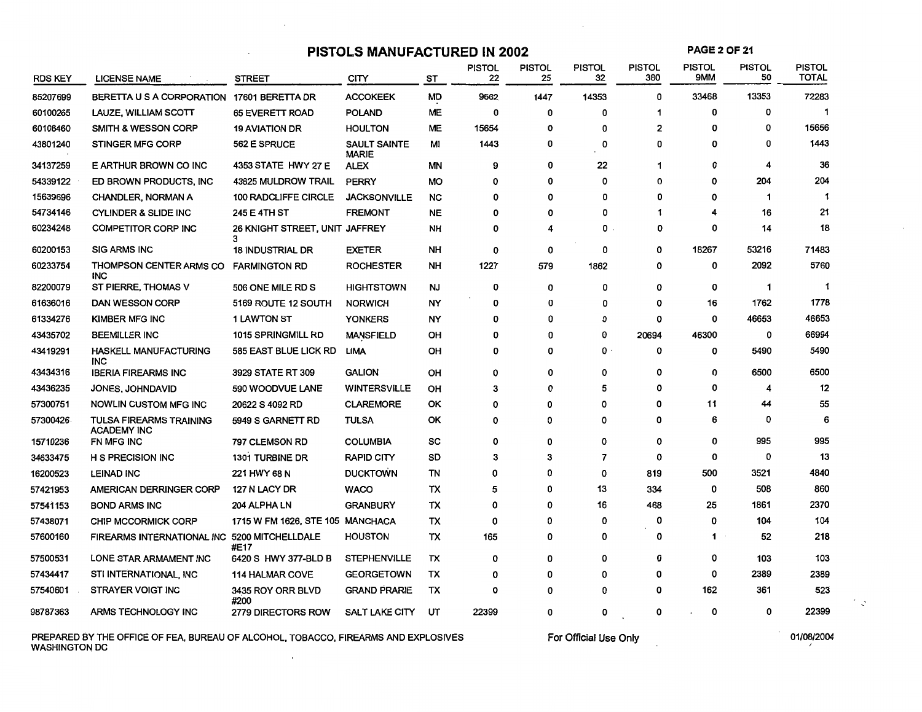#### **PISTOLS MANUFACTURED IN 2002**

**PAGE2 OF** 21

| <b>RDS KEY</b> | <b>LICENSE NAME</b>                                  | <b>STREET</b>                       | CITY                                | ST        | <b>PISTOL</b><br>22 | <b>PISTOL</b><br>25 | <b>PISTOL</b><br>32 | <b>PISTOL</b><br>380 | <b>PISTOL</b><br>9MM | <b>PISTOL</b><br>50 | <b>PISTOL</b><br><b>TOTAL</b> |
|----------------|------------------------------------------------------|-------------------------------------|-------------------------------------|-----------|---------------------|---------------------|---------------------|----------------------|----------------------|---------------------|-------------------------------|
| 85207699       | BERETTA U S A CORPORATION 17601 BERETTA DR           |                                     | <b>ACCOKEEK</b>                     | MD        | 9662                | 1447                | 14353               | 0                    | 33468                | 13353               | 72283                         |
| 60100265       | LAUZE, WILLIAM SCOTT                                 | 65 EVERETT ROAD                     | <b>POLAND</b>                       | <b>ME</b> | 0                   | 0                   | 0                   | 1                    | 0                    | 0                   | -1                            |
| 60106460       | <b>SMITH &amp; WESSON CORP</b>                       | <b>19 AVIATION DR</b>               | <b>HOULTON</b>                      | <b>ME</b> | 15654               | 0                   | 0                   | 2                    | 0                    | 0                   | 15656                         |
| 43801240       | <b>STINGER MFG CORP</b>                              | <b>562 E SPRUCE</b>                 | <b>SAULT SAINTE</b><br><b>MARIE</b> | Μl        | 1443                | 0                   | 0                   | 0                    | 0                    | 0                   | 1443                          |
| 34137259       | E ARTHUR BROWN CO INC                                | 4353 STATE HWY 27 E                 | <b>ALEX</b>                         | MN        | 9                   | 0                   | 22                  | 1                    | 0                    | 4                   | 36                            |
| 54339122       | ED BROWN PRODUCTS, INC.                              | 43825 MULDROW TRAIL                 | <b>PERRY</b>                        | <b>MO</b> | 0                   | 0                   | 0                   | O                    | 0                    | 204                 | 204                           |
| 15639696       | <b>CHANDLER, NORMAN A</b>                            | <b>100 RADCLIFFE CIRCLE</b>         | <b>JACKSONVILLE</b>                 | <b>NC</b> | 0                   | 0                   | 0                   | 0                    | 0                    | 1                   | -1                            |
| 54734146       | <b>CYLINDER &amp; SLIDE INC</b>                      | 245 E 4TH ST                        | <b>FREMONT</b>                      | <b>NE</b> | 0                   | 0                   | 0                   |                      | 4                    | 16                  | 21                            |
| 60234248       | <b>COMPETITOR CORP INC</b>                           | 26 KNIGHT STREET, UNIT JAFFREY<br>3 |                                     | NΗ        | 0                   | 4                   | 0                   | 0                    | 0                    | 14                  | 18                            |
| 60200153       | <b>SIG ARMS INC</b>                                  | <b>18 INDUSTRIAL DR</b>             | <b>EXETER</b>                       | <b>NH</b> | 0                   | 0                   | 0                   | 0                    | 18267                | 53216               | 71483                         |
| 60233754       | <b>THOMPSON CENTER ARMS CO</b><br><b>INC</b>         | <b>FARMINGTON RD</b>                | <b>ROCHESTER</b>                    | <b>NH</b> | 1227                | 579                 | 1862                | 0                    | 0                    | 2092                | 5760                          |
| 82200079       | ST PIERRE, THOMAS V                                  | 506 ONE MILE RD S                   | <b>HIGHTSTOWN</b>                   | <b>NJ</b> | 0                   | 0                   | 0                   | 0                    | 0                    | $\mathbf 1$         | -1                            |
| 61636016       | <b>DAN WESSON CORP</b>                               | 5169 ROUTE 12 SOUTH                 | <b>NORWICH</b>                      | NY        | 0                   | 0                   | 0                   | 0                    | 16                   | 1762                | 1778                          |
| 61334276       | <b>KIMBER MFG INC</b>                                | 1 LAWTON ST                         | <b>YONKERS</b>                      | NY        | 0                   | 0                   | O                   | 0                    | 0                    | 46653               | 46653                         |
| 43435702       | <b>BEEMILLER INC</b>                                 | 1015 SPRINGMILL RD                  | <b>MANSFIELD</b>                    | OH        | 0                   | 0                   | 0                   | 20694                | 46300                | 0                   | 66994                         |
| 43419291       | <b>HASKELL MANUFACTURING</b><br>INC.                 | 585 EAST BLUE LICK RD               | LIMA                                | OH        | 0                   | 0                   | 0                   | 0                    | 0                    | 5490                | 5490                          |
| 43434316       | <b>IBERIA FIREARMS INC</b>                           | 3929 STATE RT 309                   | <b>GALION</b>                       | OH        | 0                   | 0                   | 0                   | 0                    | 0                    | 6500                | 6500                          |
| 43436235       | JONES, JOHNDAVID                                     | 590 WOODVUE LANE                    | <b>WINTERSVILLE</b>                 | OH        | 3                   | 0                   | 5                   | 0                    | 0                    | 4                   | 12                            |
| 57300751       | <b>NOWLIN CUSTOM MFG INC</b>                         | 20622 S 4092 RD                     | <b>CLAREMORE</b>                    | ОК        | $\mathbf{o}$        | 0                   | 0                   | 0                    | 11                   | 44                  | 55                            |
| 57300426       | <b>TULSA FIREARMS TRAINING</b><br><b>ACADEMY INC</b> | 5949 S GARNETT RD                   | <b>TULSA</b>                        | OK        | 0                   | 0                   | 0                   | 0                    | 6                    | 0                   | 6                             |
| 15710236       | FN MFG INC                                           | 797 CLEMSON RD                      | <b>COLUMBIA</b>                     | SC        | O                   | 0                   | 0                   | 0                    | 0                    | 995                 | 995                           |
| 34633475       | <b>H S PRECISION INC</b>                             | <b>1301 TURBINE DR</b>              | <b>RAPID CITY</b>                   | SD        | 3                   | 3                   | $\overline{7}$      | 0                    | 0                    | 0                   | 13                            |
| 16200523       | <b>LEINAD INC</b>                                    | 221 HWY 68 N                        | <b>DUCKTOWN</b>                     | TN        | 0                   | 0                   | 0                   | 819                  | 500                  | 3521                | 4840                          |
| 57421953       | AMERICAN DERRINGER CORP                              | 127 N LACY DR                       | <b>WACO</b>                         | ТX        | 5                   | 0                   | 13                  | 334                  | 0                    | 508                 | 860                           |
| 57541153       | <b>BOND ARMS INC</b>                                 | 204 ALPHA LN                        | <b>GRANBURY</b>                     | TX        | 0                   | 0                   | 16                  | 468                  | 25                   | 1861                | 2370                          |
| 57438071       | CHIP MCCORMICK CORP                                  | 1715 W FM 1626, STE 105 MANCHACA    |                                     | TX        | 0                   | 0                   | 0                   | 0                    | O                    | 104                 | 104                           |
| 57600160       | FIREARMS INTERNATIONAL INC                           | 5200 MITCHELLDALE<br>#E17           | <b>HOUSTON</b>                      | тх        | 165                 | 0                   | 0                   | 0                    | 1                    | 52                  | 218                           |
| 57500531       | LONE STAR ARMAMENT INC                               | 6420 S HWY 377-BLD B                | <b>STEPHENVILLE</b>                 | TX        | 0                   | 0                   | 0                   | 0                    | 0                    | 103                 | 103                           |
| 57434417       | STI INTERNATIONAL, INC                               | <b>114 HALMAR COVE</b>              | <b>GEORGETOWN</b>                   | тх        | 0                   | 0                   | 0                   | 0                    | 0                    | 2389                | 2389                          |
| 57540601       | STRAYER VOIGT INC                                    | 3435 ROY ORR BLVD<br>#200           | <b>GRAND PRARIE</b>                 | TX        | 0                   | 0                   | 0                   | 0                    | 162                  | 361                 | 523                           |
| 98787363       | ARMS TECHNOLOGY INC                                  | <b>2779 DIRECTORS ROW</b>           | <b>SALT LAKE CITY</b>               | UT        | 22399               | 0                   | 0                   | 0                    | 0                    | 0                   | 22399                         |

PREPARED BY THE OFFICE OF FEA, BUREAU OF ALCOHOL, TOBACCO, FIREARMS AND EXPLOSIVES WASHINGTON DC

 $\sim$ 

For Official Use Only

 $\triangleq \sqrt{2}$ 

 $\bar{L}$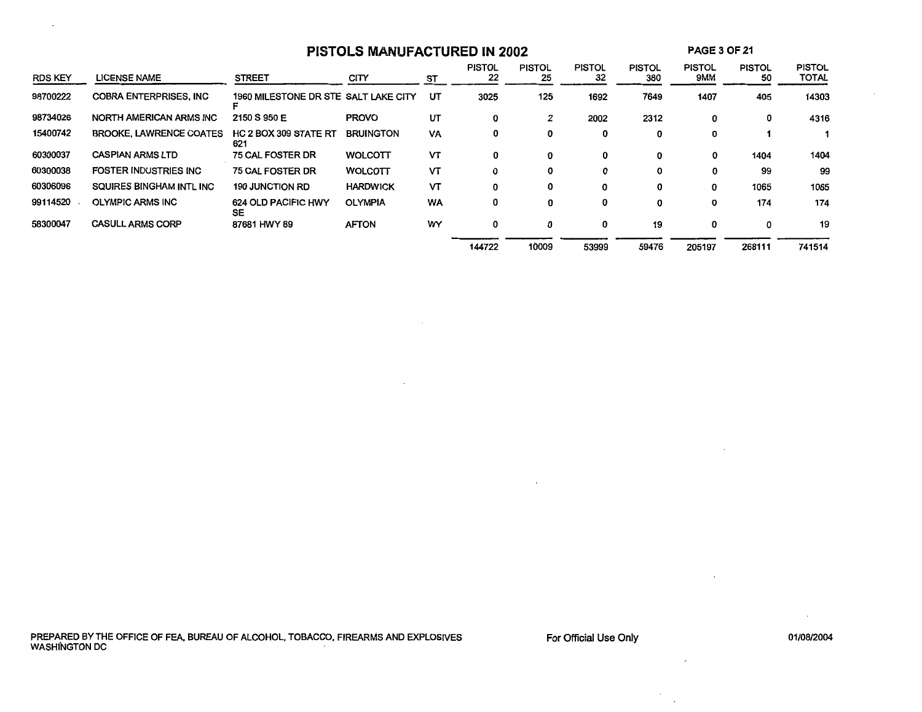| <b>PISTOLS MANUFACTURED IN 2002</b> |                                |                                      |                  |           |                     | <b>PAGE 3 OF 21</b> |                     |                      |                      |                     |                               |
|-------------------------------------|--------------------------------|--------------------------------------|------------------|-----------|---------------------|---------------------|---------------------|----------------------|----------------------|---------------------|-------------------------------|
| <b>RDS KEY</b>                      | <b>LICENSE NAME</b>            | <b>STREET</b>                        | <b>CITY</b>      | ST        | <b>PISTOL</b><br>22 | <b>PISTOL</b><br>25 | <b>PISTOL</b><br>32 | <b>PISTOL</b><br>380 | <b>PISTOL</b><br>9MM | <b>PISTOL</b><br>50 | <b>PISTOL</b><br><b>TOTAL</b> |
| 98700222                            | <b>COBRA ENTERPRISES, INC.</b> | 1960 MILESTONE DR STE SALT LAKE CITY |                  | UT        | 3025                | 125                 | 1692                | 7649                 | 1407                 | 405                 | 14303                         |
| 98734026                            | NORTH AMERICAN ARMS INC        | 2150 S 950 E                         | <b>PROVO</b>     | UT        | 0                   | 2                   | 2002                | 2312                 | 0                    | 0                   | 4316                          |
| 15400742                            | <b>BROOKE, LAWRENCE COATES</b> | <b>HC 2 BOX 309 STATE RT</b><br>621  | <b>BRUINGTON</b> | VA        | 0                   | 0                   | 0                   | 0                    | 0                    |                     |                               |
| 60300037                            | <b>CASPIAN ARMS LTD</b>        | <b>75 CAL FOSTER DR</b>              | <b>WOLCOTT</b>   | VТ        | 0                   | 0                   | 0                   | 0                    | 0                    | 1404                | 1404                          |
| 60300038                            | <b>FOSTER INDUSTRIES INC</b>   | 75 CAL FOSTER DR                     | <b>WOLCOTT</b>   | VТ        | 0                   | 0                   | 0                   | 0                    | 0                    | 99                  | 99                            |
| 60306096                            | SQUIRES BINGHAM INTL INC       | <b>190 JUNCTION RD</b>               | <b>HARDWICK</b>  | VΤ        | 0                   | 0                   | 0                   | 0                    | 0                    | 1065                | 1065                          |
| 99114520                            | <b>OLYMPIC ARMS INC</b>        | 624 OLD PACIFIC HWY<br><b>SE</b>     | <b>OLYMPIA</b>   | <b>WA</b> | 0                   | 0                   | 0                   | 0                    | 0                    | 174                 | 174                           |
| 58300047                            | <b>CASULL ARMS CORP</b>        | 87681 HWY 89                         | <b>AFTON</b>     | WY        | 0                   | 0                   | 0                   | 19                   | 0                    | 0                   | 19                            |
|                                     |                                |                                      |                  |           | 144722              | 10009               | 53999               | 59476                | 205197               | 268111              | 741514                        |

For Official Use Only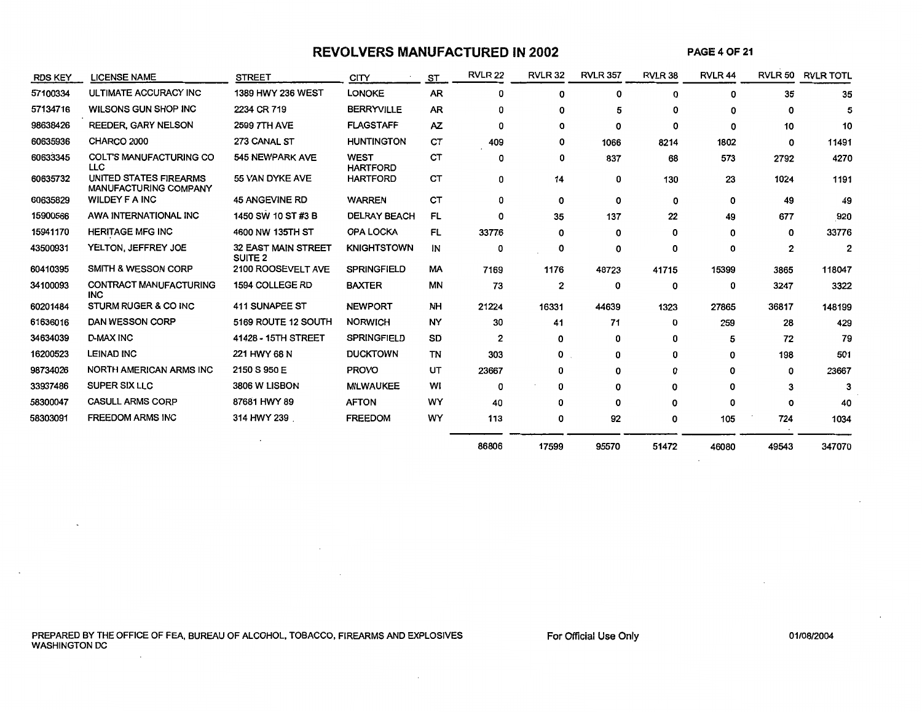## **REVOLVERS MANUFACTURED IN 2002**

**PAGE40F21** 

| <b>RDS KEY</b> | <b>LICENSE NAME</b>                                    | <b>STREET</b>                             | CITY                           | ST        | <b>RVLR 22</b> | <b>RVLR 32</b> | <b>RVLR 357</b> | RVLR 38 | RVLR <sub>44</sub> |       | <b>RVLR 50 RVLR TOTL</b> |
|----------------|--------------------------------------------------------|-------------------------------------------|--------------------------------|-----------|----------------|----------------|-----------------|---------|--------------------|-------|--------------------------|
| 57100334       | ULTIMATE ACCURACY INC                                  | 1389 HWY 236 WEST                         | <b>LONOKE</b>                  | <b>AR</b> | 0              | 0              | 0               | 0       | 0                  | 35    | 35                       |
| 57134716       | <b>WILSONS GUN SHOP INC</b>                            | 2234 CR 719                               | <b>BERRYVILLE</b>              | <b>AR</b> | O              | O              | 5               |         | O                  | 0     | 5                        |
| 98638426       | <b>REEDER, GARY NELSON</b>                             | 2599 7TH AVE                              | <b>FLAGSTAFF</b>               | AZ.       | 0              | 0              | 0               | 0       | $\Omega$           | 10    | 10                       |
| 60635936       | CHARCO 2000                                            | 273 CANAL ST                              | <b>HUNTINGTON</b>              | СT        | 409            | 0              | 1066            | 8214    | 1802               | 0     | 11491                    |
| 60633345       | <b>COLT'S MANUFACTURING CO</b><br><b>LLC</b>           | 545 NEWPARK AVE                           | <b>WEST</b><br><b>HARTFORD</b> | CТ        | 0              | 0              | 837             | 68      | 573                | 2792  | 4270                     |
| 60635732       | UNITED STATES FIREARMS<br><b>MANUFACTURING COMPANY</b> | 55 VAN DYKE AVE                           | <b>HARTFORD</b>                | СT        | 0              | 14             | 0               | 130     | 23                 | 1024  | 1191                     |
| 60635829       | <b>WILDEY F A INC</b>                                  | <b>45 ANGEVINE RD</b>                     | <b>WARREN</b>                  | CT        | O              | 0              | 0               | 0       | 0                  | 49    | 49                       |
| 15900566       | AWA INTERNATIONAL INC                                  | 1450 SW 10 ST #3 B                        | <b>DELRAY BEACH</b>            | FL        | 0              | 35             | 137             | 22      | 49                 | 677   | 920                      |
| 15941170       | <b>HERITAGE MFG INC</b>                                | 4600 NW 135TH ST                          | <b>OPA LOCKA</b>               | FL        | 33776          | 0              | 0               | 0       | 0                  | 0     | 33776                    |
| 43500931       | YELTON, JEFFREY JOE                                    | 32 EAST MAIN STREET<br>SUITE <sub>2</sub> | <b>KNIGHTSTOWN</b>             | IN        | 0              | 0              | 0               | 0       | 0                  | 2     | $\mathbf{2}$             |
| 60410395       | <b>SMITH &amp; WESSON CORP</b>                         | 2100 ROOSEVELT AVE                        | <b>SPRINGFIELD</b>             | МA        | 7169           | 1176           | 48723           | 41715   | 15399              | 3865  | 118047                   |
| 34100093       | CONTRACT MANUFACTURING<br><b>INC</b>                   | 1594 COLLEGE RD                           | <b>BAXTER</b>                  | ΜN        | 73             | 2              | 0               | 0       | 0                  | 3247  | 3322                     |
| 60201484       | STURM RUGER & CO INC                                   | 411 SUNAPEE ST                            | <b>NEWPORT</b>                 | NH        | 21224          | 16331          | 44639           | 1323    | 27865              | 36817 | 148199                   |
| 61636016       | DAN WESSON CORP                                        | 5169 ROUTE 12 SOUTH                       | <b>NORWICH</b>                 | <b>NY</b> | 30             | 41             | 71              | 0       | 259                | 28    | 429                      |
| 34634039       | <b>D-MAX INC</b>                                       | 41428 - 15TH STREET                       | <b>SPRINGFIELD</b>             | SD        | 2              | 0              | 0               | 0       | 5                  | 72    | 79                       |
| 16200523       | <b>LEINAD INC</b>                                      | 221 HWY 68 N                              | <b>DUCKTOWN</b>                | TN        | 303            | 0              | 0               | 0       | 0                  | 198   | 501                      |
| 98734026       | NORTH AMERICAN ARMS INC                                | 2150 S 950 E                              | <b>PROVO</b>                   | UT        | 23667          | o              | 0               | 0       | 0                  | 0     | 23667                    |
| 33937486       | <b>SUPER SIX LLC</b>                                   | 3806 W LISBON                             | <b>MILWAUKEE</b>               | WI        | 0              | 0              | 0               | 0       | o                  |       | 3                        |
| 58300047       | <b>CASULL ARMS CORP</b>                                | 87681 HWY 89                              | <b>AFTON</b>                   | WY        | 40             | o              | 0               | 0       | 0                  | 0     | 40                       |
| 58303091       | <b>FREEDOM ARMS INC</b>                                | 314 HWY 239                               | <b>FREEDOM</b>                 | WY        | 113            | 0              | 92              | 0       | 105                | 724   | 1034                     |
|                |                                                        |                                           |                                |           | 86806          | 17599          | 95570           | 51472   | 46080              | 49543 | 347070                   |

 $\sim$ 

PREPARED BY THE OFFICE OF FEA, BUREAU OF ALCOHOL, TOBACCO, FIREARMS AND EXPLOSIVES WASHINGTON DC

 $\sim$ 

For Official Use Only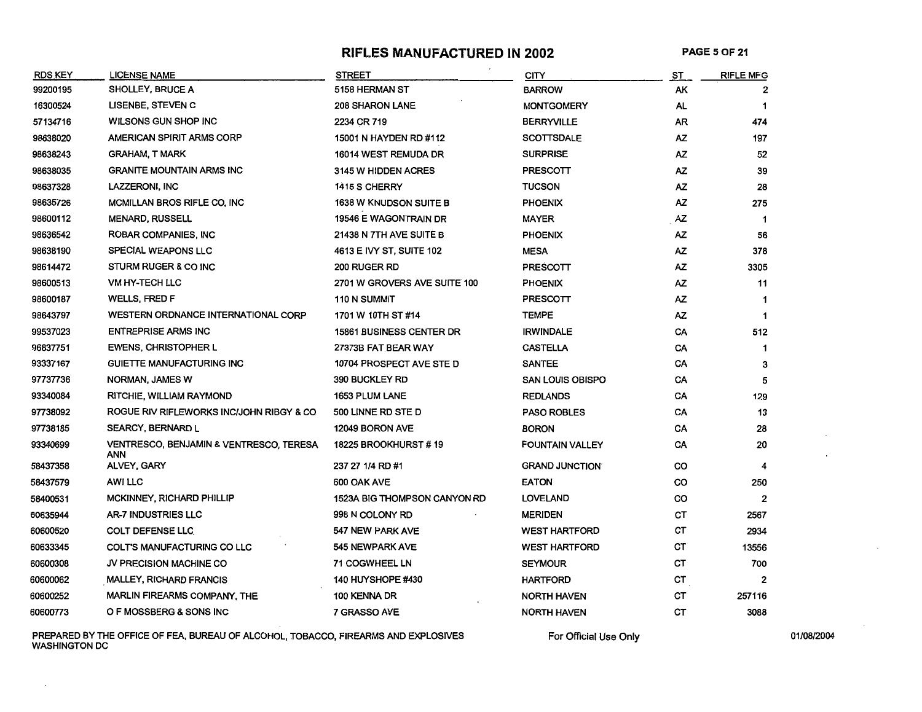#### RIFLES MANUFACTURED IN 2002 PAGE 5 OF 21

| <b>RDS KEY</b> | <b>LICENSE NAME</b>                                       | <b>STREET</b>                   | <b>CITY</b>             | ST  | <b>RIFLE MFG</b> |
|----------------|-----------------------------------------------------------|---------------------------------|-------------------------|-----|------------------|
| 99200195       | <b>SHOLLEY, BRUCE A</b>                                   | 5158 HERMAN ST                  | <b>BARROW</b>           | AΚ  |                  |
| 16300524       | <b>LISENBE, STEVEN C</b>                                  | <b>208 SHARON LANE</b>          | <b>MONTGOMERY</b>       | AL  |                  |
| 57134716       | <b>WILSONS GUN SHOP INC</b>                               | 2234 CR 719                     | <b>BERRYVILLE</b>       | AR  | 474              |
| 98638020       | <b>AMERICAN SPIRIT ARMS CORP</b>                          | 15001 N HAYDEN RD #112          | <b>SCOTTSDALE</b>       | ΑZ  | 197              |
| 98638243       | <b>GRAHAM, T MARK</b>                                     | 16014 WEST REMUDA DR            | <b>SURPRISE</b>         | AZ  | 52               |
| 98638035       | <b>GRANITE MOUNTAIN ARMS INC</b>                          | 3145 W HIDDEN ACRES             | PRESCOTT                | AZ. | 39               |
| 98637328       | LAZZERONI, INC                                            | 1415 S CHERRY                   | <b>TUCSON</b>           | AZ  | 28               |
| 98635726       | MCMILLAN BROS RIFLE CO, INC                               | <b>1638 W KNUDSON SUITE B</b>   | <b>PHOENIX</b>          | AZ  | 275              |
| 98600112       | <b>MENARD, RUSSELL</b>                                    | 19546 E WAGONTRAIN DR           | MAYER                   | AZ  | -1               |
| 98636542       | ROBAR COMPANIES, INC                                      | 21438 N 7TH AVE SUITE B         | <b>PHOENIX</b>          | ΑZ  | 56               |
| 98638190       | <b>SPECIAL WEAPONS LLC</b>                                | 4613 E IVY ST, SUITE 102        | <b>MESA</b>             | AZ  | 378              |
| 98614472       | <b>STURM RUGER &amp; CO INC</b>                           | 200 RUGER RD                    | PRESCOTT                | AZ  | 3305             |
| 98600513       | <b>VM HY-TECH LLC</b>                                     | 2701 W GROVERS AVE SUITE 100    | <b>PHOENIX</b>          | AZ  | 11               |
| 98600187       | <b>WELLS, FRED F</b>                                      | <b>110 N SUMMIT</b>             | PRESCOTT                | AZ  | -1               |
| 98643797       | <b>WESTERN ORDNANCE INTERNATIONAL CORP</b>                | 1701 W 10TH ST #14              | <b>TEMPE</b>            | AZ  | $\mathbf 1$      |
| 99537023       | <b>ENTREPRISE ARMS INC</b>                                | <b>15861 BUSINESS CENTER DR</b> | <b>IRWINDALE</b>        | CA  | 512              |
| 96837751       | <b>EWENS, CHRISTOPHER L</b>                               | 27373B FAT BEAR WAY             | <b>CASTELLA</b>         | CA  | $\mathbf 1$      |
| 93337167       | <b>GUIETTE MANUFACTURING INC</b>                          | 10704 PROSPECT AVE STE D        | <b>SANTEE</b>           | CA  | 3                |
| 97737736       | NORMAN, JAMES W                                           | 390 BUCKLEY RD                  | <b>SAN LOUIS OBISPO</b> | CA  | 5                |
| 93340084       | RITCHIE, WILLIAM RAYMOND                                  | <b>1653 PLUM LANE</b>           | <b>REDLANDS</b>         | CA  | 129              |
| 97738092       | ROGUE RIV RIFLEWORKS INC/JOHN RIBGY & CO                  | 500 LINNE RD STE D              | <b>PASO ROBLES</b>      | CA  | 13               |
| 97738185       | <b>SEARCY, BERNARD L</b>                                  | 12049 BORON AVE                 | <b>BORON</b>            | CA  | 28               |
| 93340699       | <b>VENTRESCO, BENJAMIN &amp; VENTRESCO, TERESA</b><br>ANN | <b>18225 BROOKHURST #19</b>     | <b>FOUNTAIN VALLEY</b>  | CA  | 20               |
| 58437358       | <b>ALVEY, GARY</b>                                        | 237 27 1/4 RD #1                | <b>GRAND JUNCTION</b>   | CO  | 4                |
| 58437579       | AWI LLC                                                   | 600 OAK AVE                     | <b>EATON</b>            | CO  | 250              |
| 58400531       | MCKINNEY, RICHARD PHILLIP                                 | 1523A BIG THOMPSON CANYON RD    | <b>LOVELAND</b>         | co  | 2                |
| 60635944       | <b>AR-7 INDUSTRIES LLC</b>                                | 998 N COLONY RD                 | <b>MERIDEN</b>          | СT  | 2567             |
| 60600520       | <b>COLT DEFENSE LLC</b>                                   | 547 NEW PARK AVE                | <b>WEST HARTFORD</b>    | CТ  | 2934             |
| 60633345       | <b>COLT'S MANUFACTURING CO LLC</b>                        | 545 NEWPARK AVE                 | <b>WEST HARTFORD</b>    | СT  | 13556            |
| 60600308       | JV PRECISION MACHINE CO                                   | <b>71 COGWHEEL LN</b>           | <b>SEYMOUR</b>          | CТ  | 700              |
| 60600062       | <b>MALLEY, RICHARD FRANCIS</b>                            | <b>140 HUYSHOPE #430</b>        | <b>HARTFORD</b>         | СT  | 2                |
| 60600252       | <b>MARLIN FIREARMS COMPANY, THE</b>                       | 100 KENNA DR                    | <b>NORTH HAVEN</b>      | CТ  | 257116           |
| 60600773       | O F MOSSBERG & SONS INC                                   | 7 GRASSO AVE                    | <b>NORTH HAVEN</b>      | CТ  | 3088             |

PREPARED BY THE OFFICE OF FEA, BUREAU OF ALCOHOL, TOBACCO, FIREARMS AND EXPLOSIVES WASHINGTON DC

For Official Use Only **Department Control** 01/08/2004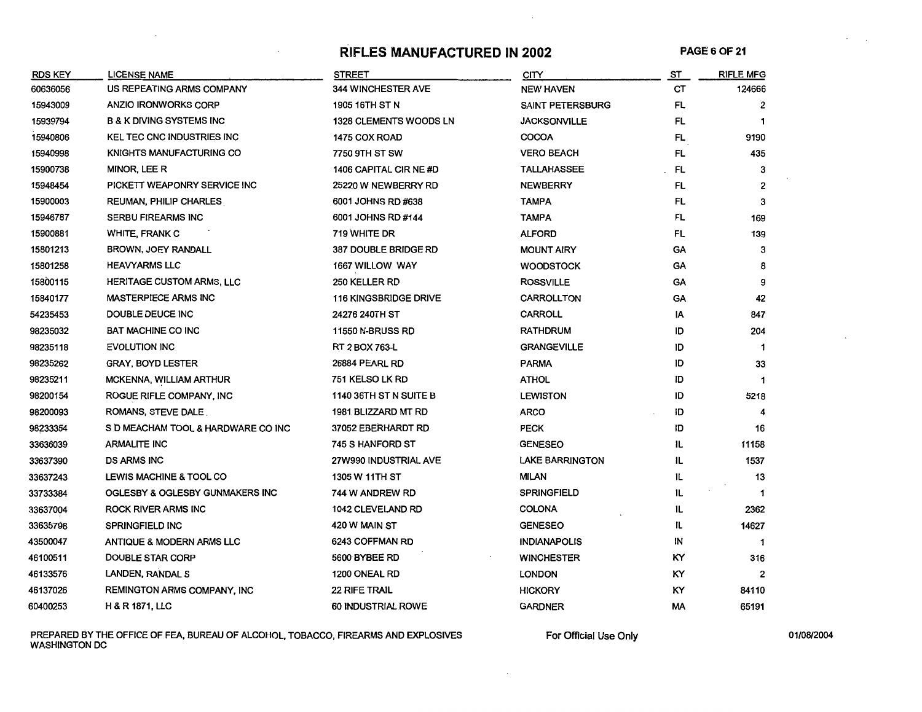#### RIFLES **MANUFACTURED IN 2002** PAGE 60F 21

| <b>RDS KEY</b> | LICENSE NAME                         | STREET                        | CITY                    | ST        | <b>RIFLE MFG</b> |
|----------------|--------------------------------------|-------------------------------|-------------------------|-----------|------------------|
| 60636056       | US REPEATING ARMS COMPANY            | <b>344 WINCHESTER AVE</b>     | <b>NEW HAVEN</b>        | СT        | 124666           |
| 15943009       | <b>ANZIO IRONWORKS CORP</b>          | 1905 16TH ST N                | <b>SAINT PETERSBURG</b> | FL.       | 2                |
| 15939794       | <b>B &amp; K DIVING SYSTEMS INC</b>  | <b>1328 CLEMENTS WOODS LN</b> | <b>JACKSONVILLE</b>     | FL        |                  |
| 15940806       | <b>KEL TEC CNC INDUSTRIES INC</b>    | 1475 COX ROAD                 | <b>COCOA</b>            | FL.       | 9190             |
| 15940998       | <b>KNIGHTS MANUFACTURING CO</b>      | 7750 9TH ST SW                | <b>VERO BEACH</b>       | FL        | 435              |
| 15900738       | MINOR, LEE R                         | 1406 CAPITAL CIR NE #D        | <b>TALLAHASSEE</b>      | FL        | 3                |
| 15948454       | PICKETT WEAPONRY SERVICE INC         | 25220 W NEWBERRY RD           | <b>NEWBERRY</b>         | FL        | $\overline{2}$   |
| 15900003       | REUMAN, PHILIP CHARLES               | 6001 JOHNS RD #638            | <b>TAMPA</b>            | FL        | 3                |
| 15946787       | <b>SERBU FIREARMS INC</b>            | 6001 JOHNS RD #144            | <b>TAMPA</b>            | FL        | 169              |
| 15900881       | <b>WHITE, FRANK C</b>                | 719 WHITE DR                  | <b>ALFORD</b>           | FL        | 139              |
| 15801213       | BROWN, JOEY RANDALL                  | <b>387 DOUBLE BRIDGE RD</b>   | <b>MOUNT AIRY</b>       | GA        | 3                |
| 15801258       | <b>HEAVYARMS LLC</b>                 | 1667 WILLOW WAY               | <b>WOODSTOCK</b>        | GA        | 8                |
| 15800115       | <b>HERITAGE CUSTOM ARMS, LLC</b>     | 250 KELLER RD                 | <b>ROSSVILLE</b>        | GA        | 9                |
| 15840177       | <b>MASTERPIECE ARMS INC</b>          | <b>116 KINGSBRIDGE DRIVE</b>  | <b>CARROLLTON</b>       | <b>GA</b> | 42               |
| 54235453       | DOUBLE DEUCE INC                     | 24276 240TH ST                | <b>CARROLL</b>          | IA        | 847              |
| 98235032       | <b>BAT MACHINE CO INC</b>            | <b>11550 N-BRUSS RD</b>       | <b>RATHDRUM</b>         | ID        | 204              |
| 98235118       | <b>EVOLUTION INC</b>                 | RT 2 BOX 763-L                | <b>GRANGEVILLE</b>      | ID        | -1               |
| 98235262       | <b>GRAY, BOYD LESTER</b>             | <b>26884 PEARL RD</b>         | <b>PARMA</b>            | ID        | 33               |
| 98235211       | <b>MCKENNA, WILLIAM ARTHUR</b>       | 751 KELSO LK RD               | <b>ATHOL</b>            | ID        | 1                |
| 98200154       | ROGUE RIFLE COMPANY, INC             | 1140 36TH ST N SUITE B        | <b>LEWISTON</b>         | ID        | 5218             |
| 98200093       | ROMANS, STEVE DALE                   | 1981 BLIZZARD MT RD           | <b>ARCO</b>             | ID        |                  |
| 98233354       | S D MEACHAM TOOL & HARDWARE CO INC   | 37052 EBERHARDT RD            | <b>PECK</b>             | סו        | 16               |
| 33636039       | <b>ARMALITE INC</b>                  | 745 S HANFORD ST              | <b>GENESEO</b>          | IL        | 11158            |
| 33637390       | <b>DS ARMS INC</b>                   | 27W990 INDUSTRIAL AVE         | <b>LAKE BARRINGTON</b>  | IL        | 1537             |
| 33637243       | LEWIS MACHINE & TOOL CO              | 1305 W 11TH ST                | MILAN                   | IL        | 13               |
| 33733384       | OGLESBY & OGLESBY GUNMAKERS INC      | 744 W ANDREW RD               | <b>SPRINGFIELD</b>      | IL        | -1               |
| 33637004       | ROCK RIVER ARMS INC                  | 1042 CLEVELAND RD             | COLONA                  | IL        | 2362             |
| 33635798       | <b>SPRINGFIELD INC</b>               | 420 W MAIN ST                 | <b>GENESEO</b>          | IL        | 14627            |
| 43500047       | <b>ANTIQUE &amp; MODERN ARMS LLC</b> | 6243 COFFMAN RD               | <b>INDIANAPOLIS</b>     | IN        |                  |
| 46100511       | <b>DOUBLE STAR CORP</b>              | 5600 BYBEE RD                 | <b>WINCHESTER</b>       | KY        | 316              |
| 46133576       | LANDEN, RANDAL S                     | 1200 ONEAL RD                 | <b>LONDON</b>           | ΚY        | 2                |
| 46137026       | <b>REMINGTON ARMS COMPANY, INC</b>   | 22 RIFE TRAIL                 | <b>HICKORY</b>          | KY        | 84110            |
| 60400253       | <b>H &amp; R 1871, LLC</b>           | 60 INDUSTRIAL ROWE            | <b>GARDNER</b>          | МA        | 65191            |

PREPARED BY THE OFFICE OF FEA, BUREAU OF ALCOHOL, TOBACCO, FIREARMS AND EXPLOSIVES WASHINGTON DC

For Official Use Only **Department Control** 01/08/2004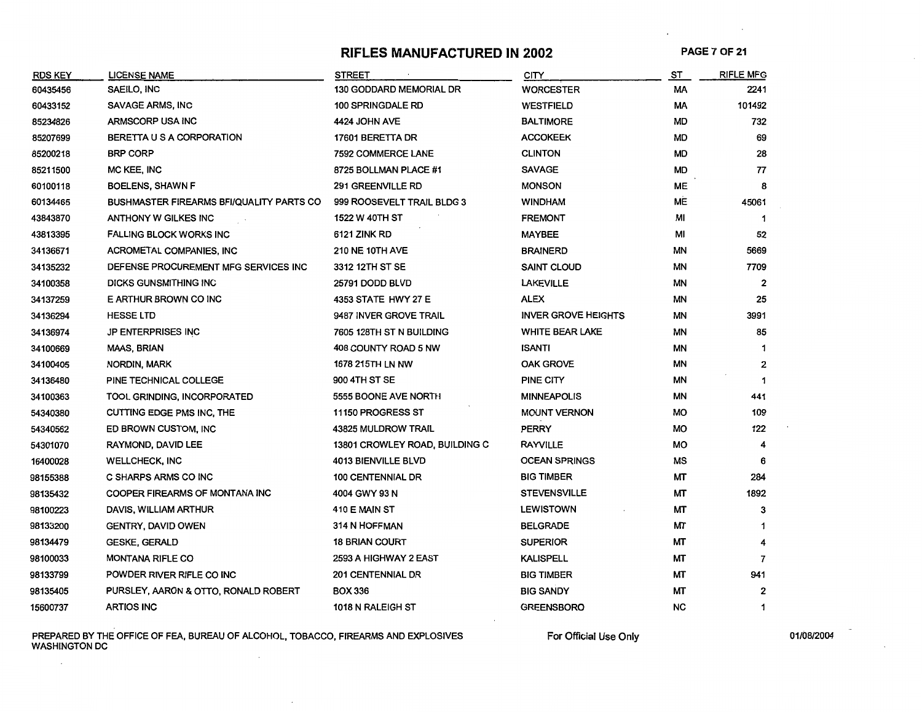### RIFLES MANUFACTURED IN 2002 PAGE 7 OF 21

| <b>RDS KEY</b> | <b>LICENSE NAME</b>                             | <b>STREET</b>                  | CITY                       | <u>ST</u> | <b>RIFLE MFG</b> |
|----------------|-------------------------------------------------|--------------------------------|----------------------------|-----------|------------------|
| 60435456       | SAEILO, INC                                     | <b>130 GODDARD MEMORIAL DR</b> | <b>WORCESTER</b>           | МA        | 2241             |
| 60433152       | <b>SAVAGE ARMS, INC</b>                         | <b>100 SPRINGDALE RD</b>       | <b>WESTFIELD</b>           | МA        | 101492           |
| 85234826       | ARMSCORP USA INC                                | 4424 JOHN AVE                  | <b>BALTIMORE</b>           | MD        | 732              |
| 85207699       | BERETTA U S A CORPORATION                       | 17601 BERETTA DR               | <b>ACCOKEEK</b>            | MD        | 69               |
| 85200218       | <b>BRP CORP</b>                                 | 7592 COMMERCE LANE             | <b>CLINTON</b>             | <b>MD</b> | 28               |
| 85211500       | MC KEE, INC                                     | 8725 BOLLMAN PLACE #1          | <b>SAVAGE</b>              | <b>MD</b> | 77               |
| 60100118       | <b>BOELENS, SHAWN F</b>                         | 291 GREENVILLE RD              | <b>MONSON</b>              | ME        | 8                |
| 60134465       | <b>BUSHMASTER FIREARMS BFI/QUALITY PARTS CO</b> | 999 ROOSEVELT TRAIL BLDG 3     | <b>WINDHAM</b>             | ME        | 45061            |
| 43843870       | ANTHONY W GILKES INC                            | <b>1522 W 40TH ST</b>          | <b>FREMONT</b>             | MI        | -1               |
| 43813395       | <b>FALLING BLOCK WORKS INC</b>                  | <b>6121 ZINK RD</b>            | <b>MAYBEE</b>              | MI        | 52               |
| 34136671       | <b>ACROMETAL COMPANIES, INC</b>                 | <b>210 NE 10TH AVE</b>         | <b>BRAINERD</b>            | ΜN        | 5669             |
| 34135232       | DEFENSE PROCUREMENT MFG SERVICES INC            | 3312 12TH ST SE                | <b>SAINT CLOUD</b>         | ΜN        | 7709             |
| 34100358       | DICKS GUNSMITHING INC                           | 25791 DODD BLVD                | <b>LAKEVILLE</b>           | ΜN        | $\overline{2}$   |
| 34137259       | E ARTHUR BROWN CO INC                           | 4353 STATE HWY 27 E            | ALEX                       | ΜN        | 25               |
| 34136294       | <b>HESSE LTD</b>                                | 9487 INVER GROVE TRAIL         | <b>INVER GROVE HEIGHTS</b> | ΜN        | 3991             |
| 34136974       | <b>JP ENTERPRISES INC</b>                       | 7605 128TH ST N BUILDING       | <b>WHITE BEAR LAKE</b>     | ΜN        | 85               |
| 34100669       | <b>MAAS, BRIAN</b>                              | 408 COUNTY ROAD 5 NW           | ISANTI                     | ΜN        | -1               |
| 34100405       | NORDIN, MARK                                    | 1678 215TH LN NW               | <b>OAK GROVE</b>           | ΜN        | 2                |
| 34136480       | PINE TECHNICAL COLLEGE                          | 900 4TH ST SE                  | PINE CITY                  | ΜN        | $\mathbf{1}$     |
| 34100363       | TOOL GRINDING, INCORPORATED                     | 5555 BOONE AVE NORTH           | <b>MINNEAPOLIS</b>         | ΜN        | 441              |
| 54340380       | CUTTING EDGE PMS INC, THE                       | 11150 PROGRESS ST              | <b>MOUNT VERNON</b>        | МO        | 109              |
| 54340562       | ED BROWN CUSTOM, INC                            | 43825 MULDROW TRAIL            | PERRY                      | МO        | 122              |
| 54301070       | <b>RAYMOND, DAVID LEE</b>                       | 13801 CROWLEY ROAD, BUILDING C | <b>RAYVILLE</b>            | МO        |                  |
| 16400028       | <b>WELLCHECK, INC</b>                           | <b>4013 BIENVILLE BLVD</b>     | <b>OCEAN SPRINGS</b>       | МS        | 6                |
| 98155388       | C SHARPS ARMS CO INC                            | <b>100 CENTENNIAL DR</b>       | <b>BIG TIMBER</b>          | МT        | 284              |
| 98135432       | COOPER FIREARMS OF MONTANA INC                  | 4004 GWY 93 N                  | <b>STEVENSVILLE</b>        | ΜТ        | 1892             |
| 98100223       | DAVIS, WILLIAM ARTHUR                           | 410 E MAIN ST                  | <b>LEWISTOWN</b>           | ΜТ        | 3                |
| 98133200       | <b>GENTRY, DAVID OWEN</b>                       | 314 N HOFFMAN                  | <b>BELGRADE</b>            | ΜТ        |                  |
| 98134479       | <b>GESKE, GERALD</b>                            | <b>18 BRIAN COURT</b>          | <b>SUPERIOR</b>            | ΜТ        |                  |
| 98100033       | <b>MONTANA RIFLE CO</b>                         | 2593 A HIGHWAY 2 EAST          | <b>KALISPELL</b>           | ΜТ        | 7                |
| 98133799       | POWDER RIVER RIFLE CO INC                       | <b>201 CENTENNIAL DR</b>       | <b>BIG TIMBER</b>          | ΜТ        | 941              |
| 98135405       | PURSLEY, AARON & OTTO, RONALD ROBERT            | <b>BOX 336</b>                 | <b>BIG SANDY</b>           | МT        | 2                |
| 15600737       | <b>ARTIOS INC</b>                               | 1018 N RALEIGH ST              | <b>GREENSBORO</b>          | <b>NC</b> | 1                |

PREPARED BY THE OFFICE OF FEA, BUREAU OF ALCOHOL, TOBACCO, FIREARMS AND EXPLOSIVES FOR STRIGHT ON DISCONDUSTION DC<br>WASHINGTON DC

 $\bar{z}$ 

 $\sim$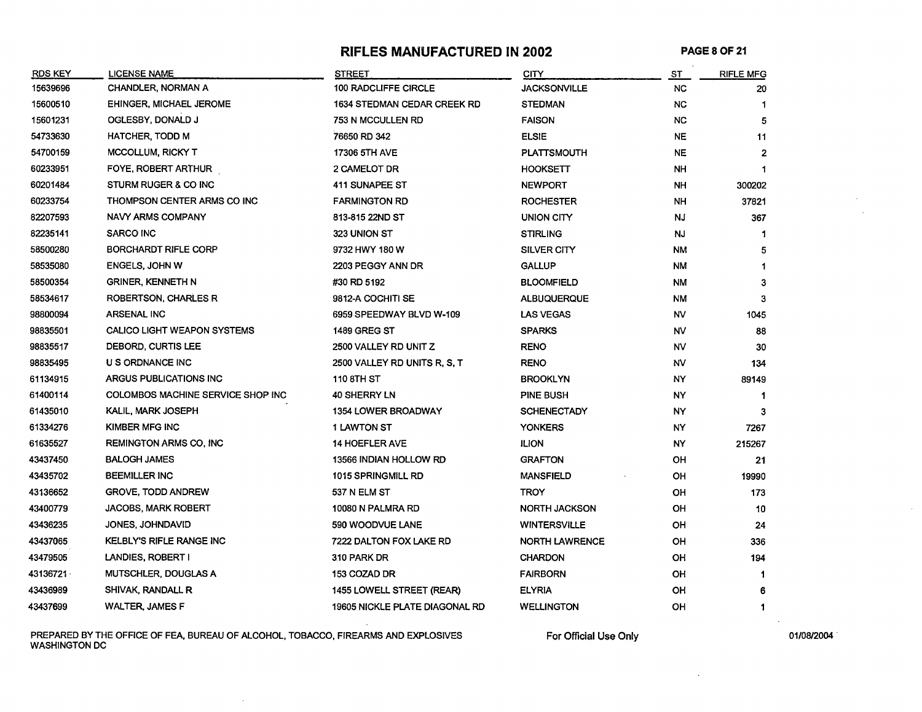#### **RIFLES MANUFACTURED IN 2002** PAGE 8 OF 21

| <b>RDS KEY</b> | <b>LICENSE NAME</b>               | <b>STREET</b>                      | <b>CITY</b>           | ST        | <b>RIFLE MFG</b> |
|----------------|-----------------------------------|------------------------------------|-----------------------|-----------|------------------|
| 15639696       | <b>CHANDLER, NORMAN A</b>         | 100 RADCLIFFE CIRCLE               | <b>JACKSONVILLE</b>   | NC.       | 20               |
| 15600510       | <b>EHINGER, MICHAEL JEROME</b>    | <b>1634 STEDMAN CEDAR CREEK RD</b> | <b>STEDMAN</b>        | NC.       |                  |
| 15601231       | OGLESBY, DONALD J                 | 753 N MCCULLEN RD                  | <b>FAISON</b>         | NC.       | 5                |
| 54733630       | <b>HATCHER, TODD M</b>            | 76650 RD 342                       | <b>ELSIE</b>          | NE.       | 11               |
| 54700159       | <b>MCCOLLUM, RICKY T</b>          | 17306 5TH AVE                      | <b>PLATTSMOUTH</b>    | NE.       | $\overline{2}$   |
| 60233951       | FOYE, ROBERT ARTHUR               | 2 CAMELOT DR                       | <b>HOOKSETT</b>       | <b>NH</b> | $\mathbf 1$      |
| 60201484       | STURM RUGER & CO INC              | <b>411 SUNAPEE ST</b>              | <b>NEWPORT</b>        | <b>NH</b> | 300202           |
| 60233754       | THOMPSON CENTER ARMS CO INC       | <b>FARMINGTON RD</b>               | <b>ROCHESTER</b>      | <b>NH</b> | 37821            |
| 82207593       | NAVY ARMS COMPANY                 | 813-815 22ND ST                    | UNION CITY            | NJ        | 367              |
| 82235141       | <b>SARCO INC</b>                  | 323 UNION ST                       | <b>STIRLING</b>       | <b>NJ</b> |                  |
| 58500280       | <b>BORCHARDT RIFLE CORP</b>       | 9732 HWY 180 W                     | SILVER CITY           | NM        | 5                |
| 58535080       | ENGELS, JOHN W                    | 2203 PEGGY ANN DR                  | <b>GALLUP</b>         | ΝM        |                  |
| 58500354       | <b>GRINER, KENNETH N</b>          | #30 RD 5192                        | <b>BLOOMFIELD</b>     | NM        | 3                |
| 58534617       | ROBERTSON, CHARLES R              | 9812-A COCHITI SE                  | <b>ALBUQUERQUE</b>    | <b>NM</b> | 3                |
| 98800094       | <b>ARSENAL INC</b>                | 6959 SPEEDWAY BLVD W-109           | LAS VEGAS             | NV        | 1045             |
| 98835501       | CALICO LIGHT WEAPON SYSTEMS       | <b>1489 GREG ST</b>                | <b>SPARKS</b>         | NV        | 88               |
| 98835517       | DEBORD, CURTIS LEE                | 2500 VALLEY RD UNIT Z              | RENO                  | NV        | 30               |
| 98835495       | U S ORDNANCE INC                  | 2500 VALLEY RD UNITS R, S, T       | RENO                  | NV        | 134              |
| 61134915       | ARGUS PUBLICATIONS INC            | <b>110 8TH ST</b>                  | <b>BROOKLYN</b>       | NY        | 89149            |
| 61400114       | COLOMBOS MACHINE SERVICE SHOP INC | <b>40 SHERRY LN</b>                | PINE BUSH             | NY.       | 1                |
| 61435010       | KALIL, MARK JOSEPH                | <b>1354 LOWER BROADWAY</b>         | <b>SCHENECTADY</b>    | NY.       | 3                |
| 61334276       | KIMBER MFG INC                    | <b>1 LAWTON ST</b>                 | <b>YONKERS</b>        | NY.       | 7267             |
| 61635527       | <b>REMINGTON ARMS CO, INC</b>     | <b>14 HOEFLER AVE</b>              | <b>ILION</b>          | NY.       | 215267           |
| 43437450       | <b>BALOGH JAMES</b>               | 13566 INDIAN HOLLOW RD             | <b>GRAFTON</b>        | OH        | 21               |
| 43435702       | <b>BEEMILLER INC</b>              | 1015 SPRINGMILL RD                 | <b>MANSFIELD</b>      | OН        | 19990            |
| 43136652       | <b>GROVE, TODD ANDREW</b>         | 537 N ELM ST                       | <b>TROY</b>           | OН        | 173              |
| 43400779       | <b>JACOBS, MARK ROBERT</b>        | 10080 N PALMRA RD                  | <b>NORTH JACKSON</b>  | OH        | 10               |
| 43436235       | JONES, JOHNDAVID                  | 590 WOODVUE LANE                   | <b>WINTERSVILLE</b>   | OH        | 24               |
| 43437065       | <b>KELBLY'S RIFLE RANGE INC</b>   | 7222 DALTON FOX LAKE RD            | <b>NORTH LAWRENCE</b> | OH        | 336              |
| 43479505       | LANDIES, ROBERT I                 | 310 PARK DR                        | <b>CHARDON</b>        | OH        | 194              |
| 43136721 \     | MUTSCHLER, DOUGLAS A              | 153 COZAD DR                       | <b>FAIRBORN</b>       | OH        | $\mathbf{1}$     |
| 43436989       | SHIVAK, RANDALL R                 | 1455 LOWELL STREET (REAR)          | <b>ELYRIA</b>         | OH        | 6                |
| 43437699       | <b>WALTER, JAMES F</b>            | 19605 NICKLE PLATE DIAGONAL RD     | <b>WELLINGTON</b>     | OH        | 1                |

PREPARED BY THE OFFICE OF FEA, BUREAU OF ALCOHOL, TOBACCO, FIREARMS AND EXPLOSIVES WASHINGTON DC

 $\sim 10^7$ 

For Official Use Only **01/08/2004** 

 $\sim$  4  $^\circ$ 

 $\sim$ 

 $\sim$ 

 $\sim$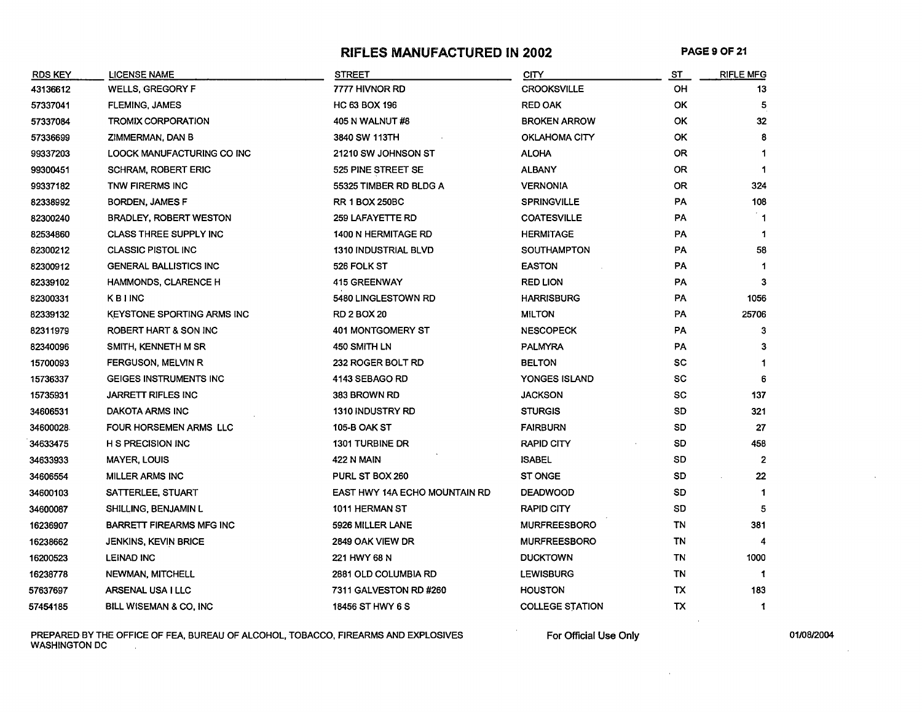#### **RIFLES MANUFACTURED IN 2002** PAGE 9 OF 21

| <b>RDS KEY</b> | <b>LICENSE NAME</b>               | <b>STREET</b>                 | <b>CITY</b>            | ST        | <b>RIFLE MFG</b> |
|----------------|-----------------------------------|-------------------------------|------------------------|-----------|------------------|
| 43136612       | <b>WELLS, GREGORY F</b>           | 7777 HIVNOR RD                | <b>CROOKSVILLE</b>     | OН        | 13               |
| 57337041       | <b>FLEMING, JAMES</b>             | HC 63 BOX 196                 | <b>RED OAK</b>         | 0K        | 5                |
| 57337084       | <b>TROMIX CORPORATION</b>         | 405 N WALNUT #8               | <b>BROKEN ARROW</b>    | OK        | 32               |
| 57336699       | ZIMMERMAN, DAN B                  | 3840 SW 113TH                 | OKLAHOMA CITY          | <b>OK</b> | 8                |
| 99337203       | LOOCK MANUFACTURING CO INC        | 21210 SW JOHNSON ST           | <b>ALOHA</b>           | <b>OR</b> | 1                |
| 99300451       | <b>SCHRAM, ROBERT ERIC</b>        | 525 PINE STREET SE            | <b>ALBANY</b>          | 0R        | 1                |
| 99337182       | TNW FIRERMS INC                   | 55325 TIMBER RD BLDG A        | <b>VERNONIA</b>        | 0R        | 324              |
| 82338992       | <b>BORDEN, JAMES F</b>            | <b>RR 1 BOX 250BC</b>         | <b>SPRINGVILLE</b>     | PA        | 108              |
| 82300240       | <b>BRADLEY, ROBERT WESTON</b>     | 259 LAFAYETTE RD              | <b>COATESVILLE</b>     | PA        | ່1               |
| 82534860       | <b>CLASS THREE SUPPLY INC</b>     | 1400 N HERMITAGE RD           | <b>HERMITAGE</b>       | PA        | $\mathbf{1}$     |
| 82300212       | <b>CLASSIC PISTOL INC</b>         | <b>1310 INDUSTRIAL BLVD</b>   | <b>SOUTHAMPTON</b>     | PA        | 58               |
| 82300912       | <b>GENERAL BALLISTICS INC</b>     | 526 FOLK ST                   | <b>EASTON</b>          | PA        | $\mathbf 1$      |
| 82339102       | HAMMONDS, CLARENCE H              | <b>415 GREENWAY</b>           | <b>RED LION</b>        | PA        | 3                |
| 82300331       | <b>KBINC</b>                      | 5480 LINGLESTOWN RD           | <b>HARRISBURG</b>      | PA        | 1056             |
| 82339132       | <b>KEYSTONE SPORTING ARMS INC</b> | <b>RD 2 BOX 20</b>            | <b>MILTON</b>          | PA        | 25706            |
| 82311979       | ROBERT HART & SON INC             | 401 MONTGOMERY ST             | <b>NESCOPECK</b>       | PA        | 3                |
| 82340096       | SMITH, KENNETH M SR               | 450 SMITH LN                  | <b>PALMYRA</b>         | PA        | 3                |
| 15700093       | FERGUSON, MELVIN R                | 232 ROGER BOLT RD             | <b>BELTON</b>          | SC        | 1                |
| 15736337       | GEIGES INSTRUMENTS INC            | 4143 SEBAGO RD                | YONGES ISLAND          | sc        | 6                |
| 15735931       | <b>JARRETT RIFLES INC</b>         | 383 BROWN RD                  | JACKSON                | SC        | 137              |
| 34606531       | DAKOTA ARMS INC                   | <b>1310 INDUSTRY RD</b>       | <b>STURGIS</b>         | SD        | 321              |
| 34600028       | FOUR HORSEMEN ARMS LLC            | <b>105-B OAK ST</b>           | <b>FAIRBURN</b>        | SD        | 27               |
| 34633475       | H S PRECISION INC                 | <b>1301 TURBINE DR</b>        | <b>RAPID CITY</b>      | SD        | 458              |
| 34633933       | <b>MAYER, LOUIS</b>               | <b>422 N MAIN</b>             | <b>ISABEL</b>          | SD        | $\mathbf{2}$     |
| 34606554       | <b>MILLER ARMS INC</b>            | PURL ST BOX 260               | <b>ST ONGE</b>         | SD        | 22               |
| 34600103       | SATTERLEE, STUART                 | EAST HWY 14A ECHO MOUNTAIN RD | <b>DEADWOOD</b>        | SD        | $\mathbf{1}$     |
| 34600087       | SHILLING, BENJAMIN L              | 1011 HERMAN ST                | <b>RAPID CITY</b>      | SD        | 5                |
| 16236907       | <b>BARRETT FIREARMS MFG INC</b>   | 5926 MILLER LANE              | <b>MURFREESBORO</b>    | ΤN        | 381              |
| 16238662       | <b>JENKINS, KEVIN BRICE</b>       | 2849 OAK VIEW DR              | <b>MURFREESBORO</b>    | ΤN        | 4                |
| 16200523       | <b>LEINAD INC</b>                 | 221 HWY 68 N                  | <b>DUCKTOWN</b>        | TN        | 1000             |
| 16238778       | <b>NEWMAN, MITCHELL</b>           | 2881 OLD COLUMBIA RD          | <b>LEWISBURG</b>       | TN        | -1               |
| 57637697       | ARSENAL USA I LLC                 | 7311 GALVESTON RD #260        | <b>HOUSTON</b>         | тх        | 183              |
| 57454185       | BILL WISEMAN & CO, INC            | 18456 ST HWY 6 S              | <b>COLLEGE STATION</b> | ТX        | 1                |
|                |                                   |                               |                        |           |                  |

PREPARED BY THE OFFICE OF FEA, BUREAU OF ALCOHOL, TOBACCO, FIREARMS AND EXPLOSIVES For Official Use Only 01/08/2004 WASHINGTON DC  $\sim 10^{-1}$ 

 $\lambda$ 

 $\sim$   $\alpha$ 

 $\sim$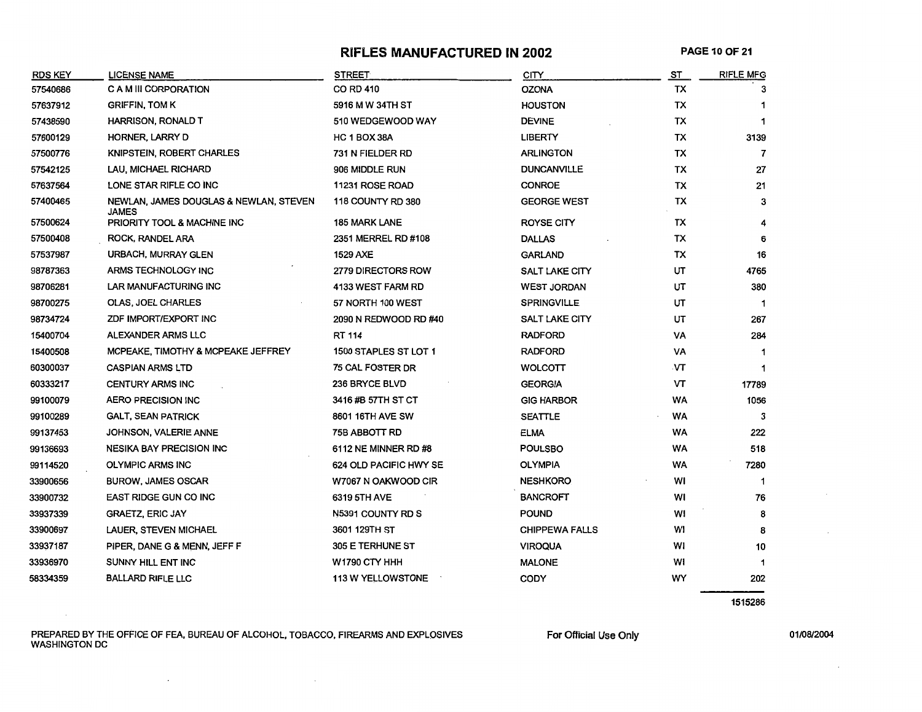#### **RIFLES MANUFACTURED IN 2002** PAGE 10 OF 21

| <b>RDS KEY</b> | LICENSE NAME                                    | <b>STREET</b>                | <b>CITY</b>           | <b>ST</b> | <b>RIFLE MFG</b> |
|----------------|-------------------------------------------------|------------------------------|-----------------------|-----------|------------------|
| 57540686       | C A M III CORPORATION                           | <b>CO RD 410</b>             | <b>OZONA</b>          | TX        | 3                |
| 57637912       | <b>GRIFFIN, TOM K</b>                           | 5916 M W 34TH ST             | <b>HOUSTON</b>        | TX        |                  |
| 57438590       | <b>HARRISON, RONALD T</b>                       | 510 WEDGEWOOD WAY            | <b>DEVINE</b>         | TX        | 1                |
| 57600129       | HORNER, LARRY D                                 | HC 1 BOX 38A                 | <b>LIBERTY</b>        | TX        | 3139             |
| 57500776       | KNIPSTEIN, ROBERT CHARLES                       | 731 N FIELDER RD             | <b>ARLINGTON</b>      | <b>TX</b> | 7                |
| 57542125       | LAU, MICHAEL RICHARD                            | 906 MIDDLE RUN               | <b>DUNCANVILLE</b>    | <b>TX</b> | 27               |
| 57637564       | LONE STAR RIFLE CO INC                          | 11231 ROSE ROAD              | <b>CONROE</b>         | TX        | 21               |
| 57400465       | NEWLAN, JAMES DOUGLAS & NEWLAN, STEVEN<br>JAMES | 118 COUNTY RD 380            | <b>GEORGE WEST</b>    | TX        | 3                |
| 57500624       | PRIORITY TOOL & MACHINE INC                     | <b>185 MARK LANE</b>         | <b>ROYSE CITY</b>     | <b>TX</b> | 4                |
| 57500408       | ROCK, RANDEL ARA                                | 2351 MERREL RD #108          | <b>DALLAS</b>         | TX        | 6                |
| 57537987       | URBACH, MURRAY GLEN                             | <b>1529 AXE</b>              | <b>GARLAND</b>        | TX        | 16               |
| 98787363       | ARMS TECHNOLOGY INC                             | <b>2779 DIRECTORS ROW</b>    | <b>SALT LAKE CITY</b> | UT        | 4765             |
| 98706281       | LAR MANUFACTURING INC                           | <b>4133 WEST FARM RD</b>     | <b>WEST JORDAN</b>    | UT        | 380              |
| 98700275       | OLAS, JOEL CHARLES                              | 57 NORTH 100 WEST            | <b>SPRINGVILLE</b>    | UT        | $\mathbf 1$      |
| 98734724       | ZDF IMPORT/EXPORT INC                           | 2090 N REDWOOD RD #40        | SALT LAKE CITY        | UT        | 267              |
| 15400704       | ALEXANDER ARMS LLC                              | <b>RT 114</b>                | <b>RADFORD</b>        | VA        | 284              |
| 15400508       | MCPEAKE, TIMOTHY & MCPEAKE JEFFREY              | <b>1500 STAPLES ST LOT 1</b> | <b>RADFORD</b>        | VA        |                  |
| 60300037       | <b>CASPIAN ARMS LTD</b>                         | 75 CAL FOSTER DR             | <b>WOLCOTT</b>        | .VT       | 1                |
| 60333217       | <b>CENTURY ARMS INC</b>                         | 236 BRYCE BLVD               | <b>GEORGIA</b>        | VT        | 17789            |
| 99100079       | <b>AERO PRECISION INC</b>                       | 3416 #B 57TH ST CT           | <b>GIG HARBOR</b>     | <b>WA</b> | 1056             |
| 99100289       | <b>GALT, SEAN PATRICK</b>                       | 8601 16TH AVE SW             | <b>SEATTLE</b>        | <b>WA</b> | 3                |
| 99137453       | JOHNSON, VALERIE ANNE                           | 75B ABBOTT RD                | <b>ELMA</b>           | WA        | 222              |
| 99136693       | <b>NESIKA BAY PRECISION INC</b>                 | 6112 NE MINNER RD #8         | <b>POULSBO</b>        | <b>WA</b> | 518              |
| 99114520       | <b>OLYMPIC ARMS INC</b>                         | 624 OLD PACIFIC HWY SE       | <b>OLYMPIA</b>        | <b>WA</b> | 7280             |
| 33900656       | <b>BUROW, JAMES OSCAR</b>                       | W7067 N OAKWOOD CIR          | <b>NESHKORO</b>       | WI        | 1                |
| 33900732       | <b>EAST RIDGE GUN CO INC</b>                    | 6319 5TH AVE                 | <b>BANCROFT</b>       | WI        | 76               |
| 33937339       | <b>GRAETZ, ERIC JAY</b>                         | N5391 COUNTY RD S            | <b>POUND</b>          | WI        | 8                |
| 33900697       | LAUER, STEVEN MICHAEL                           | 3601 129TH ST                | <b>CHIPPEWA FALLS</b> | WI        | 8                |
| 33937187       | PIPER, DANE G & MENN, JEFF F                    | 305 E TERHUNE ST             | <b>VIROQUA</b>        | WI        | 10               |
| 33936970       | SUNNY HILL ENT INC                              | W1790 CTY HHH                | <b>MALONE</b>         | w١        | 1                |
| 58334359       | <b>BALLARD RIFLE LLC</b>                        | <b>113 W YELLOWSTONE</b>     | CODY                  | WY        | 202              |

1515286

PREPARED BY THE OFFICE OF FEA, BUREAU OF ALCOHOL, TOBACCO, FIREARMS AND EXPLOSIVES WASHINGTON DC

 $\sim$   $\sim$ 

 $\sim 10^{-10}$ 

 $\epsilon$ 

For Official Use Only 01/08/2004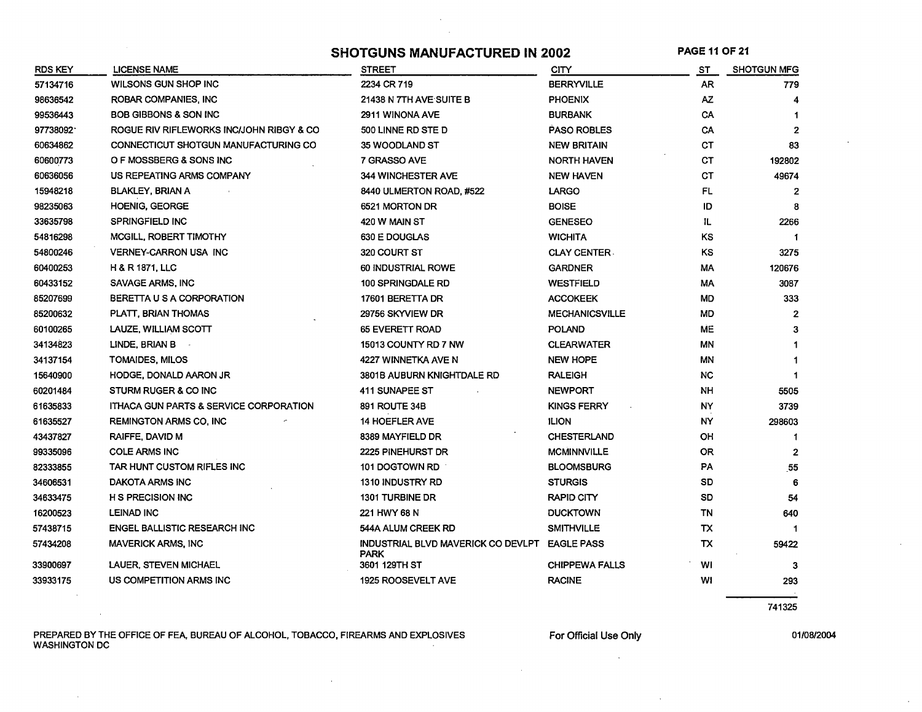SHOTGUNS MANUFACTURED IN 2002 PAGE 11 OF 21

 $\sim$ 

| <b>RDS KEY</b> | LICENSE NAME                                      | <b>STREET</b>                                                | <b>CITY</b>           | ST        | <b>SHOTGUN MFG</b> |
|----------------|---------------------------------------------------|--------------------------------------------------------------|-----------------------|-----------|--------------------|
| 57134716       | WILSONS GUN SHOP INC                              | 2234 CR 719                                                  | <b>BERRYVILLE</b>     | AR.       | 779                |
| 98636542       | ROBAR COMPANIES, INC                              | 21438 N 7TH AVE SUITE B                                      | <b>PHOENIX</b>        | AZ.       |                    |
| 99536443       | <b>BOB GIBBONS &amp; SON INC</b>                  | 2911 WINONA AVE                                              | <b>BURBANK</b>        | CA        |                    |
| 97738092       | ROGUE RIV RIFLEWORKS INC/JOHN RIBGY & CO          | 500 LINNE RD STE D                                           | <b>PASO ROBLES</b>    | CA        | $\overline{2}$     |
| 60634862       | CONNECTICUT SHOTGUN MANUFACTURING CO              | 35 WOODLAND ST                                               | <b>NEW BRITAIN</b>    | СT        | 83                 |
| 60600773       | O F MOSSBERG & SONS INC                           | 7 GRASSO AVE                                                 | <b>NORTH HAVEN</b>    | CТ        | 192802             |
| 60636056       | US REPEATING ARMS COMPANY                         | <b>344 WINCHESTER AVE</b>                                    | <b>NEW HAVEN</b>      | СT        | 49674              |
| 15948218       | <b>BLAKLEY, BRIAN A</b>                           | 8440 ULMERTON ROAD, #522                                     | LARGO                 | FL.       | $\overline{2}$     |
| 98235063       | <b>HOENIG, GEORGE</b>                             | 6521 MORTON DR                                               | <b>BOISE</b>          | ID        | Я.                 |
| 33635798       | <b>SPRINGFIELD INC</b>                            | 420 W MAIN ST                                                | <b>GENESEO</b>        | IL.       | 2266               |
| 54816298       | MCGILL, ROBERT TIMOTHY                            | 630 E DOUGLAS                                                | <b>WICHITA</b>        | KS        | -1                 |
| 54800246       | <b>VERNEY-CARRON USA INC</b>                      | 320 COURT ST                                                 | <b>CLAY CENTER.</b>   | KS        | 3275               |
| 60400253       | <b>H &amp; R 1871, LLC</b>                        | 60 INDUSTRIAL ROWE                                           | <b>GARDNER</b>        | MA        | 120676             |
| 60433152       | SAVAGE ARMS, INC                                  | 100 SPRINGDALE RD                                            | <b>WESTFIELD</b>      | МA        | 3087               |
| 85207699       | BERETTA U S A CORPORATION                         | 17601 BERETTA DR                                             | <b>ACCOKEEK</b>       | <b>MD</b> | 333                |
| 85200632       | PLATT, BRIAN THOMAS                               | 29756 SKYVIEW DR                                             | <b>MECHANICSVILLE</b> | MD        | $\overline{2}$     |
| 60100265       | LAUZE, WILLIAM SCOTT                              | <b>65 EVERETT ROAD</b>                                       | <b>POLAND</b>         | <b>ME</b> | 3                  |
| 34134823       | LINDE, BRIAN B                                    | 15013 COUNTY RD 7 NW                                         | <b>CLEARWATER</b>     | ΜN        |                    |
| 34137154       | <b>TOMAIDES, MILOS</b>                            | 4227 WINNETKA AVE N                                          | <b>NEW HOPE</b>       | <b>MN</b> |                    |
| 15640900       | HODGE, DONALD AARON JR                            | 3801B AUBURN KNIGHTDALE RD                                   | <b>RALEIGH</b>        | NC.       |                    |
| 60201484       | STURM RUGER & CO INC                              | 411 SUNAPEE ST                                               | <b>NEWPORT</b>        | NH        | 5505               |
| 61635833       | <b>ITHACA GUN PARTS &amp; SERVICE CORPORATION</b> | 891 ROUTE 34B                                                | <b>KINGS FERRY</b>    | NΥ        | 3739               |
| 61635527       | <b>REMINGTON ARMS CO. INC</b>                     | <b>14 HOEFLER AVE</b>                                        | <b>ILION</b>          | NY.       | 298603             |
| 43437827       | RAIFFE, DAVID M                                   | 8389 MAYFIELD DR                                             | <b>CHESTERLAND</b>    | OН        | -1                 |
| 99335096       | <b>COLE ARMS INC</b>                              | 2225 PINEHURST DR                                            | <b>MCMINNVILLE</b>    | 0R        | $\overline{2}$     |
| 82333855       | TAR HUNT CUSTOM RIFLES INC                        | 101 DOGTOWN RD                                               | <b>BLOOMSBURG</b>     | PA        | 55                 |
| 34606531       | DAKOTA ARMS INC                                   | <b>1310 INDUSTRY RD</b>                                      | <b>STURGIS</b>        | SD        | 6                  |
| 34633475       | <b>H S PRECISION INC</b>                          | 1301 TURBINE DR                                              | RAPID CITY            | SD        | 54                 |
| 16200523       | <b>LEINAD INC</b>                                 | 221 HWY 68 N                                                 | <b>DUCKTOWN</b>       | TN        | 640                |
| 57438715       | <b>ENGEL BALLISTIC RESEARCH INC</b>               | 544A ALUM CREEK RD                                           | <b>SMITHVILLE</b>     | <b>TX</b> |                    |
| 57434208       | <b>MAVERICK ARMS, INC</b>                         | INDUSTRIAL BLVD MAVERICK CO DEVLPT EAGLE PASS<br><b>PARK</b> |                       | TX        | 59422              |
| 33900697       | LAUER, STEVEN MICHAEL                             | 3601 129TH ST                                                | <b>CHIPPEWA FALLS</b> | WI        | 3                  |
| 33933175       | US COMPETITION ARMS INC                           | <b>1925 ROOSEVELT AVE</b>                                    | <b>RACINE</b>         | WI        | 293                |

741325

PREPARED BY THE OFFICE OF FEA, BUREAU OF ALCOHOL, TOBACCO, FIREARMS AND EXPLOSIVES For Official Use Only Promin<br>WASHINGTON DC WASHINGTON DC

 $\sim$ 

 $\sim 10^{-1}$ 

 $\sim 10^7$ 

 $\sim 100$ 

 $\sim$ 

 $\mathcal{A}$ 

 $\sim$ 

 $\cdot$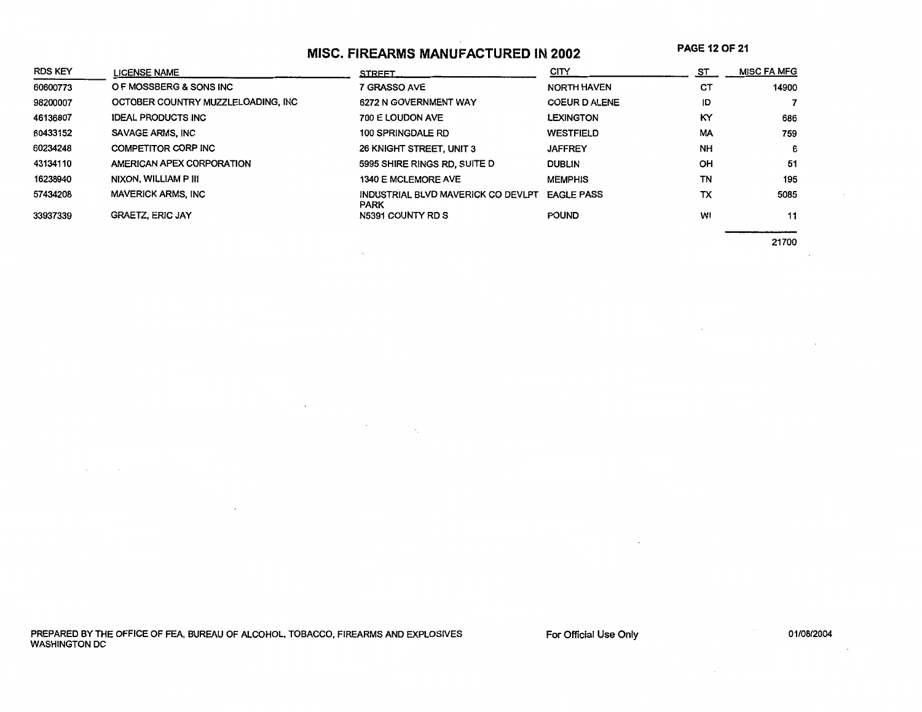### **MISC. FIREARMS MANUFACTURED IN 2002**

**PAGE 120F21** 

| <b>RDS KEY</b> | <b>LICENSE NAME</b>                | <b>STREET</b>                                     | CITY                 | ST        | <b>MISC FA MFG</b> |
|----------------|------------------------------------|---------------------------------------------------|----------------------|-----------|--------------------|
| 60600773       | O F MOSSBERG & SONS INC            | 7 GRASSO AVE                                      | <b>NORTH HAVEN</b>   | СT        | 14900              |
| 98200007       | OCTOBER COUNTRY MUZZLELOADING, INC | 6272 N GOVERNMENT WAY                             | <b>COEUR D ALENE</b> | ID        |                    |
| 46136807       | <b>IDEAL PRODUCTS INC</b>          | 700 E LOUDON AVE                                  | <b>LEXINGTON</b>     | KY        | 686                |
| 60433152       | SAVAGE ARMS, INC                   | 100 SPRINGDALE RD                                 | <b>WESTFIELD</b>     | <b>MA</b> | 759                |
| 60234248       | COMPETITOR CORP INC                | 26 KNIGHT STREET, UNIT 3                          | <b>JAFFREY</b>       | <b>NH</b> | 6                  |
| 43134110       | AMERICAN APEX CORPORATION          | 5995 SHIRE RINGS RD, SUITE D                      | <b>DUBLIN</b>        | OH        | 51                 |
| 16238940       | NIXON, WILLIAM P III               | 1340 E MCLEMORE AVE                               | <b>MEMPHIS</b>       | TN        | 195                |
| 57434208       | <b>MAVERICK ARMS, INC</b>          | INDUSTRIAL BLVD MAVERICK CO DEVLPT<br><b>PARK</b> | <b>EAGLE PASS</b>    | ТX        | 5085               |
| 33937339       | <b>GRAETZ, ERIC JAY</b>            | N5391 COUNTY RD S                                 | <b>POUND</b>         | WI        | 11                 |

 $\ddot{\phantom{a}}$ 

 $\label{eq:2.1} \frac{1}{\sqrt{2}}\int_{\mathbb{R}^2}\frac{1}{\sqrt{2}}\left(\frac{1}{\sqrt{2}}\right)^2\frac{1}{\sqrt{2}}\left(\frac{1}{\sqrt{2}}\right)^2\frac{1}{\sqrt{2}}\frac{1}{\sqrt{2}}\left(\frac{1}{\sqrt{2}}\right)^2.$ 

21700

PREPARED BY THE OFFICE OF FEA, BUREAU OF ALCOHOL, TOBACCO, FIREARMS AND EXPLOSIVES WASHINGTON DC

For Official Use Only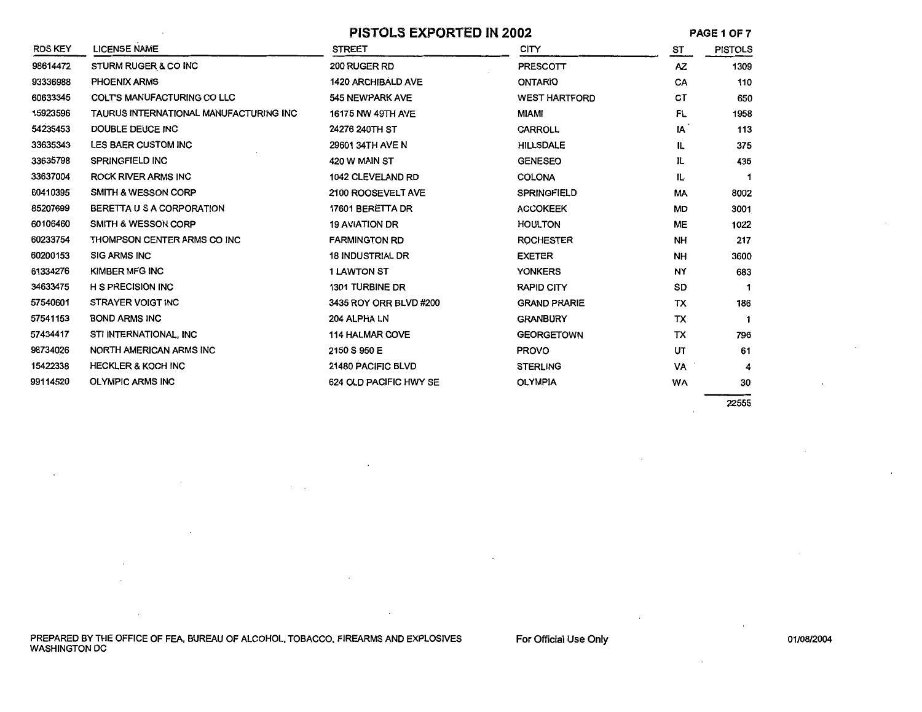| <b>PISTOLS EXPORTED IN 2002</b> |  |  |  |  |
|---------------------------------|--|--|--|--|
|---------------------------------|--|--|--|--|

PAGE 1OF7

|                |                                        | PISTULS EAPURTED IN 2002  |                      |           | PAGE I UP <i>I</i> |
|----------------|----------------------------------------|---------------------------|----------------------|-----------|--------------------|
| <b>RDS KEY</b> | <b>LICENSE NAME</b>                    | <b>STREET</b>             | <b>CITY</b>          | ST        | <b>PISTOLS</b>     |
| 98614472       | STURM RUGER & CO INC                   | 200 RUGER RD              | <b>PRESCOTT</b>      | AZ.       | 1309               |
| 93336988       | PHOENIX ARMS                           | <b>1420 ARCHIBALD AVE</b> | <b>ONTARIO</b>       | CA        | 110                |
| 60633345       | <b>COLTS MANUFACTURING CO LLC</b>      | 545 NEWPARK AVE           | <b>WEST HARTFORD</b> | СT        | 650                |
| 15923596       | TAURUS INTERNATIONAL MANUFACTURING INC | 16175 NW 49TH AVE         | <b>MIAMI</b>         | FL        | 1958               |
| 54235453       | DOUBLE DEUCE INC                       | 24276 240TH ST            | <b>CARROLL</b>       | IA        | 113                |
| 33635343       | LES BAER CUSTOM INC                    | 29601 34TH AVE N          | <b>HILLSDALE</b>     | IL        | 375                |
| 33635798       | <b>SPRINGFIELD INC</b>                 | 420 W MAIN ST             | <b>GENESEO</b>       | IL        | 435                |
| 33637004       | <b>ROCK RIVER ARMS INC</b>             | 1042 CLEVELAND RD         | <b>COLONA</b>        | IL.       | 1                  |
| 60410395       | SMITH & WESSON CORP                    | 2100 ROOSEVELT AVE        | <b>SPRINGFIELD</b>   | МA        | 8002               |
| 85207699       | BERETTA U S A CORPORATION              | 17601 BERETTA DR          | <b>ACCOKEEK</b>      | MD        | 3001               |
| 60106460       | <b>SMITH &amp; WESSON CORP</b>         | <b>19 AVIATION DR</b>     | <b>HOULTON</b>       | ME        | 1022               |
| 60233754       | THOMPSON CENTER ARMS CO INC            | <b>FARMINGTON RD</b>      | <b>ROCHESTER</b>     | <b>NH</b> | 217                |
| 60200153       | <b>SIG ARMS INC</b>                    | <b>18 INDUSTRIAL DR</b>   | <b>EXETER</b>        | <b>NH</b> | 3600               |
| 61334276       | KIMBER MFG INC                         | <b>1 LAWTON ST</b>        | <b>YONKERS</b>       | NY        | 683                |
| 34633475       | <b>H S PRECISION INC</b>               | 1301 TURBINE DR           | <b>RAPID CITY</b>    | SD        |                    |
| 57540601       | <b>STRAYER VOIGT INC</b>               | 3435 ROY ORR BLVD #200    | <b>GRAND PRARIE</b>  | TX        | 186                |
| 57541153       | <b>BOND ARMS INC</b>                   | 204 ALPHA LN              | <b>GRANBURY</b>      | TX        |                    |
| 57434417       | STI INTERNATIONAL, INC                 | <b>114 HALMAR COVE</b>    | <b>GEORGETOWN</b>    | TX        | 796                |
| 98734026       | NORTH AMERICAN ARMS INC                | 2150 S 950 E              | <b>PROVO</b>         | UT        | 61                 |
| 15422338       | <b>HECKLER &amp; KOCH INC</b>          | 21480 PACIFIC BLVD        | <b>STERLING</b>      | VA        |                    |
| 99114520       | <b>OLYMPIC ARMS INC</b>                | 624 OLD PACIFIC HWY SE    | <b>OLYMPIA</b>       | <b>WA</b> | 30                 |
|                |                                        |                           |                      |           |                    |

22555

PREPARED BY THE OFFICE OF FEA, BUREAU OF ALCOHOL, TOBACCO, FIREARMS AND EXPLOSIVES WASHINGTON DC

 $\lambda_{\rm{max}}$ 

For Official Use Only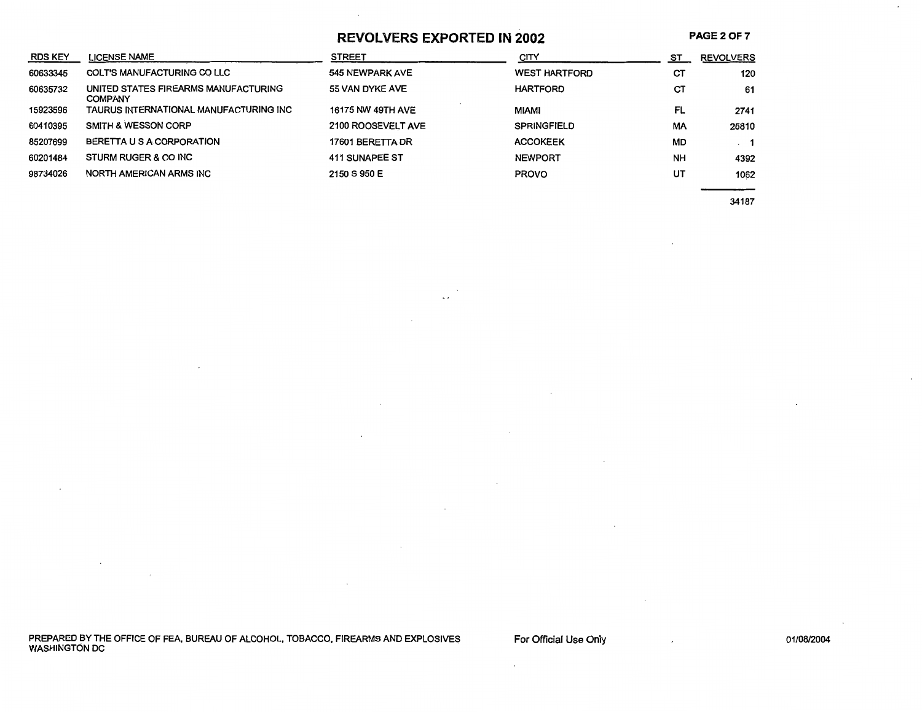**REVOLVERS EXPORTED IN 2002** 

 $\mathbf{r}$ 

**PAGE20F7** 

 $\ddot{\phantom{0}}$ 

| <b>RDS KEY</b> | <b>LICENSE NAME</b>                                    | <b>STREET</b>            | CITY                 | ST        | <b>REVOLVERS</b> |
|----------------|--------------------------------------------------------|--------------------------|----------------------|-----------|------------------|
| 60633345       | <b>COLT'S MANUFACTURING CO LLC</b>                     | 545 NEWPARK AVE          | <b>WEST HARTFORD</b> | СT        | 120              |
| 60635732       | UNITED STATES FIREARMS MANUFACTURING<br><b>COMPANY</b> | 55 VAN DYKE AVE          | <b>HARTFORD</b>      | CT        | 61               |
| 15923596       | TAURUS INTERNATIONAL MANUFACTURING INC                 | <b>16175 NW 49TH AVE</b> | <b>MIAMI</b>         | FL        | 2741             |
| 60410395       | <b>SMITH &amp; WESSON CORP</b>                         | 2100 ROOSEVELT AVE       | <b>SPRINGFIELD</b>   | MA        | 25810            |
| 85207699       | BERETTA U S A CORPORATION                              | 17601 BERETTA DR         | <b>ACCOKEEK</b>      | <b>MD</b> | $\cdot$ 1        |
| 60201484       | STURM RUGER & CO INC                                   | 411 SUNAPEE ST           | <b>NEWPORT</b>       | <b>NH</b> | 4392             |
| 98734026       | NORTH AMERICAN ARMS INC                                | 2150 S 950 E             | <b>PROVO</b>         | UT        | 1062             |
|                |                                                        |                          |                      |           |                  |

34187

PREPARED BY THE OFFICE OF FEA, BUREAU OF ALCOHOL, TOBACCO, FIREARMS AND EXPLOSIVES WASHINGTON DC

For Official Use Only

 $\cdot$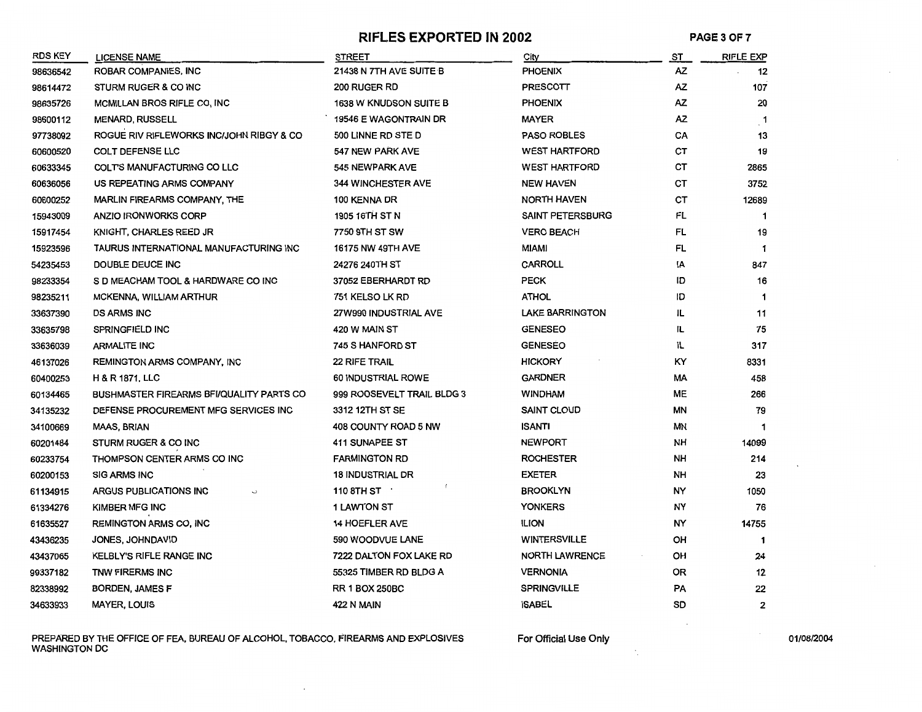#### **RIFLES EXPORTED IN 2002** PAGE 3 OF 7

| <b>RDS KEY</b> | <b>LICENSE NAME</b>                             | <b>STREET</b>              | City                    | ST.       | <b>RIFLE EXP</b> |
|----------------|-------------------------------------------------|----------------------------|-------------------------|-----------|------------------|
| 98636542       | ROBAR COMPANIES, INC                            | 21438 N 7TH AVE SUITE B    | <b>PHOENIX</b>          | AZ        | 12               |
| 98614472       | STURM RUGER & CO INC                            | 200 RUGER RD               | <b>PRESCOTT</b>         | <b>AZ</b> | 107              |
| 98635726       | MCMILLAN BROS RIFLE CO, INC                     | 1638 W KNUDSON SUITE B     | <b>PHOENIX</b>          | AZ.       | 20               |
| 98600112       | <b>MENARD, RUSSELL</b>                          | 19546 E WAGONTRAIN DR      | <b>MAYER</b>            | AZ        | $\cdot$ 1        |
| 97738092       | ROGUE RIV RIFLEWORKS INC/JOHN RIBGY & CO        | 500 LINNE RD STE D         | <b>PASO ROBLES</b>      | CA        | 13               |
| 60600520       | <b>COLT DEFENSE LLC</b>                         | 547 NEW PARK AVE           | <b>WEST HARTFORD</b>    | СT        | 19               |
| 60633345       | COLT'S MANUFACTURING CO LLC                     | 545 NEWPARK AVE            | <b>WEST HARTFORD</b>    | СT        | 2865             |
| 60636056       | US REPEATING ARMS COMPANY                       | 344 WINCHESTER AVE         | <b>NEW HAVEN</b>        | СT        | 3752             |
| 60600252       | <b>MARLIN FIREARMS COMPANY, THE</b>             | 100 KENNA DR               | <b>NORTH HAVEN</b>      | CT        | 12689            |
| 15943009       | <b>ANZIO IRONWORKS CORP</b>                     | 1905 16TH ST N             | <b>SAINT PETERSBURG</b> | FL        | $\mathbf 1$      |
| 15917454       | KNIGHT, CHARLES REED JR                         | 7750 9TH ST SW             | <b>VERO BEACH</b>       | FL        | 19               |
| 15923596       | TAURUS INTERNATIONAL MANUFACTURING INC          | <b>16175 NW 49TH AVE</b>   | <b>MIAMI</b>            | FL        | 1                |
| 54235453       | DOUBLE DEUCE INC                                | 24276 240TH ST             | <b>CARROLL</b>          | ΙA        | 847              |
| 98233354       | S D MEACHAM TOOL & HARDWARE CO INC              | 37052 EBERHARDT RD         | <b>PECK</b>             | ID        | 16               |
| 98235211       | MCKENNA, WILLIAM ARTHUR                         | 751 KELSO LK RD            | <b>ATHOL</b>            | ID        | $\mathbf 1$      |
| 33637390       | <b>DS ARMS INC</b>                              | 27W990 INDUSTRIAL AVE      | <b>LAKE BARRINGTON</b>  | IL        | 11               |
| 33635798       | SPRINGFIELD INC                                 | 420 W MAIN ST              | <b>GENESEO</b>          | IL.       | 75               |
| 33636039       | <b>ARMALITE INC</b>                             | 745 S HANFORD ST           | <b>GENESEO</b>          | IL.       | 317              |
| 46137026       | <b>REMINGTON ARMS COMPANY, INC</b>              | <b>22 RIFE TRAIL</b>       | <b>HICKORY</b>          | KY        | 8331             |
| 60400253       | <b>H &amp; R 1871, LLC</b>                      | 60 INDUSTRIAL ROWE         | <b>GARDNER</b>          | MA        | 458              |
| 60134465       | <b>BUSHMASTER FIREARMS BFI/QUALITY PARTS CO</b> | 999 ROOSEVELT TRAIL BLDG 3 | <b>WINDHAM</b>          | <b>ME</b> | 266              |
| 34135232       | DEFENSE PROCUREMENT MFG SERVICES INC            | 3312 12TH ST SE            | <b>SAINT CLOUD</b>      | ΜN        | 79               |
| 34100669       | <b>MAAS, BRIAN</b>                              | 408 COUNTY ROAD 5 NW       | <b>ISANTI</b>           | ΜN        | 1                |
| 60201484       | STURM RUGER & CO INC                            | 411 SUNAPEE ST             | <b>NEWPORT</b>          | NΗ        | 14099            |
| 60233754       | THOMPSON CENTER ARMS CO INC                     | <b>FARMINGTON RD</b>       | <b>ROCHESTER</b>        | NH        | 214              |
| 60200153       | <b>SIG ARMS INC</b>                             | <b>18 INDUSTRIAL DR</b>    | <b>EXETER</b>           | NH        | 23               |
| 61134915       | ARGUS PUBLICATIONS INC                          | 110 8TH ST $\cdot$         | <b>BROOKLYN</b>         | NY        | 1050             |
| 61334276       | KIMBER MFG INC                                  | <b>1 LAWTON ST</b>         | <b>YONKERS</b>          | NY        | 76               |
| 61635527       | <b>REMINGTON ARMS CO, INC</b>                   | <b>14 HOEFLER AVE</b>      | <b>ILION</b>            | NY        | 14755            |
| 43436235       | JONES, JOHNDAVID                                | 590 WOODVUE LANE           | <b>WINTERSVILLE</b>     | OH        | 1                |
| 43437065       | KELBLY'S RIFLE RANGE INC                        | 7222 DALTON FOX LAKE RD    | <b>NORTH LAWRENCE</b>   | OH        | 24               |
| 99337182       | TNW FIRERMS INC                                 | 55325 TIMBER RD BLDG A     | <b>VERNONIA</b>         | 0R        | 12               |
| 82338992       | <b>BORDEN, JAMES F</b>                          | <b>RR 1 BOX 250BC</b>      | <b>SPRINGVILLE</b>      | PA        | 22               |
| 34633933       | <b>MAYER, LOUIS</b>                             | 422 N MAIN                 | <b>ISABEL</b>           | SD        | $\mathbf{2}$     |

PREPARED BY THE OFFICE OF FEA, BUREAU OF ALCOHOL, TOBACCO, FIREARMS AND EXPLOSIVES For Official Use Only 1990 Material Use Only 101/08/2004 WASHINGTON DC

÷,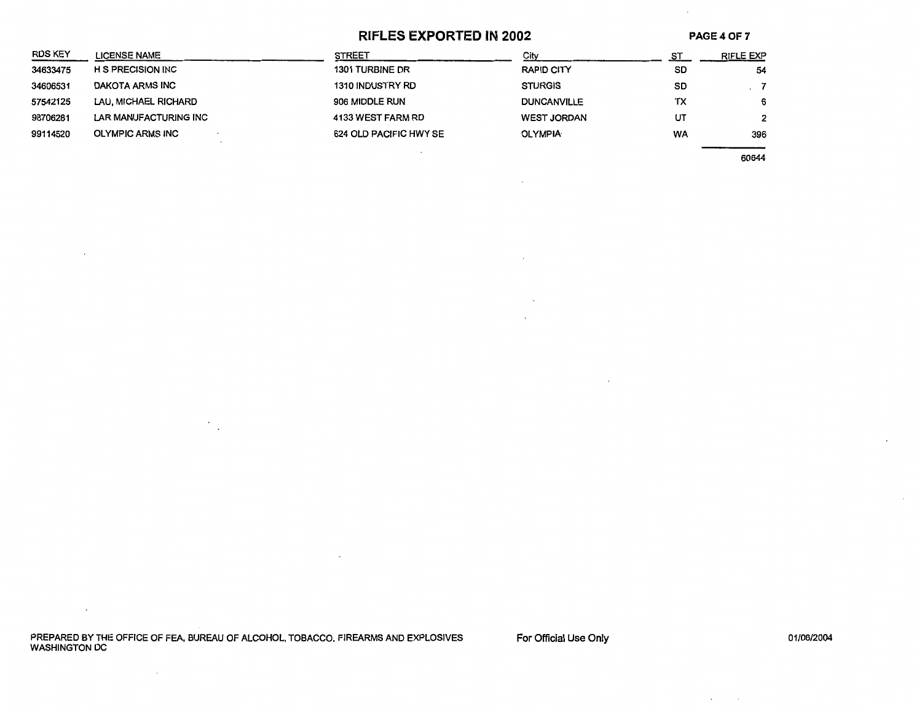#### **RIFLES EXPORTED IN 2002**

 $\ddot{\phantom{a}}$ 

 $\sim$ 

 $\cdot$ 

**PAGE40F7** 

| <b>RDS KEY</b> | <b>LICENSE NAME</b>      | <b>STREET</b>           | Citv               |    | RIFLE EXP    |
|----------------|--------------------------|-------------------------|--------------------|----|--------------|
| 34633475       | <b>H S PRECISION INC</b> | 1301 TURBINE DR         | RAPID CITY         | SD | 54           |
| 34606531       | DAKOTA ARMS INC          | <b>1310 INDUSTRY RD</b> | <b>STURGIS</b>     | SD |              |
| 57542125       | LAU, MICHAEL RICHARD     | 906 MIDDLE RUN          | <b>DUNCANVILLE</b> | ТX | 6            |
| 98706281       | LAR MANUFACTURING INC    | 4133 WEST FARM RD       | <b>WEST JORDAN</b> | UT | $\mathbf{2}$ |
| 99114520       | <b>OLYMPIC ARMS INC</b>  | 624 OLD PACIFIC HWY SE  | <b>OLYMPIA</b>     | WA | 396          |
|                |                          |                         |                    |    |              |

60644

PREPARED BY THE OFFICE OF FEA, BUREAU OF ALCOHOL, TOBACCO, FIREARMS AND EXPLOSIVES WASHINGTON DC

 $\mathcal{F}_{\mathcal{A}}$ 

 $\sim$   $\sim$ 

 $\sim 10^7$ 

For Official Use Only

 $\sim$  $\sim 10^{-1}$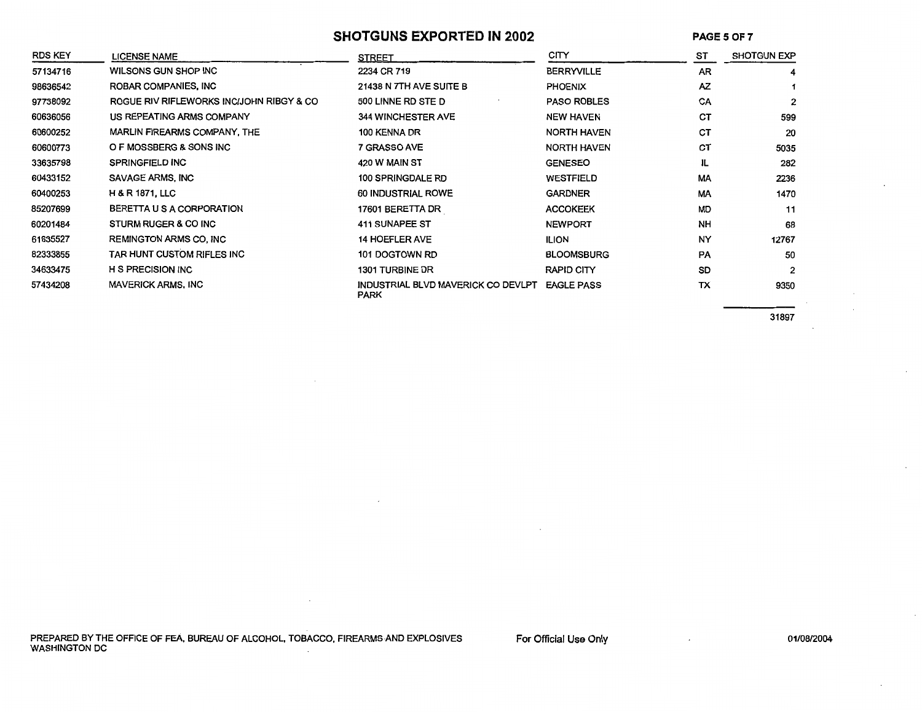#### SHOTGUNS EXPORTED IN 2002 **PAGES OF 7**

| <b>RDS KEY</b> | <b>LICENSE NAME</b>                      | <b>STREET</b>                                     | CITY               | ST        | <b>SHOTGUN EXP</b> |
|----------------|------------------------------------------|---------------------------------------------------|--------------------|-----------|--------------------|
| 57134716       | WILSONS GUN SHOP INC                     | 2234 CR 719                                       | <b>BERRYVILLE</b>  | <b>AR</b> | 4                  |
| 98636542       | ROBAR COMPANIES, INC                     | 21438 N 7TH AVE SUITE B                           | <b>PHOENIX</b>     | AZ        |                    |
| 97738092       | ROGUE RIV RIFLEWORKS INC/JOHN RIBGY & CO | 500 LINNE RD STE D                                | <b>PASO ROBLES</b> | CA        | $\overline{2}$     |
| 60636056       | US REPEATING ARMS COMPANY                | <b>344 WINCHESTER AVE</b>                         | <b>NEW HAVEN</b>   | <b>CT</b> | 599                |
| 60600252       | <b>MARLIN FIREARMS COMPANY, THE</b>      | 100 KENNA DR                                      | <b>NORTH HAVEN</b> | <b>CT</b> | 20                 |
| 60600773       | O F MOSSBERG & SONS INC                  | 7 GRASSO AVE                                      | NORTH HAVEN        | <b>CT</b> | 5035               |
| 33635798       | <b>SPRINGFIELD INC</b>                   | 420 W MAIN ST                                     | <b>GENESEO</b>     | IL        | 282                |
| 60433152       | SAVAGE ARMS, INC                         | 100 SPRINGDALE RD                                 | WESTFIELD          | <b>MA</b> | 2236               |
| 60400253       | <b>H &amp; R 1871, LLC</b>               | 60 INDUSTRIAL ROWE                                | <b>GARDNER</b>     | <b>MA</b> | 1470               |
| 85207699       | BERETTA U S A CORPORATION                | 17601 BERETTA DR                                  | <b>ACCOKEEK</b>    | <b>MD</b> | 11                 |
| 60201484       | STURM RUGER & CO INC                     | 411 SUNAPEE ST                                    | <b>NEWPORT</b>     | <b>NH</b> | 68                 |
| 61635527       | <b>REMINGTON ARMS CO. INC.</b>           | 14 HOEFLER AVE                                    | <b>ILION</b>       | <b>NY</b> | 12767              |
| 82333855       | TAR HUNT CUSTOM RIFLES INC               | 101 DOGTOWN RD                                    | <b>BLOOMSBURG</b>  | <b>PA</b> | 50                 |
| 34633475       | <b>H S PRECISION INC</b>                 | 1301 TURBINE DR                                   | RAPID CITY         | SD        | $\overline{2}$     |
| 57434208       | <b>MAVERICK ARMS, INC</b>                | INDUSTRIAL BLVD MAVERICK CO DEVLPT<br><b>PARK</b> | <b>EAGLE PASS</b>  | TX        | 9350               |

31897

PREPARED BY THE OFFICE OF FEA, BUREAU OF ALCOHOL, TOBACCO, FIREARMS AND EXPLOSIVES For Official Use Only<br>WASHINGTON DC